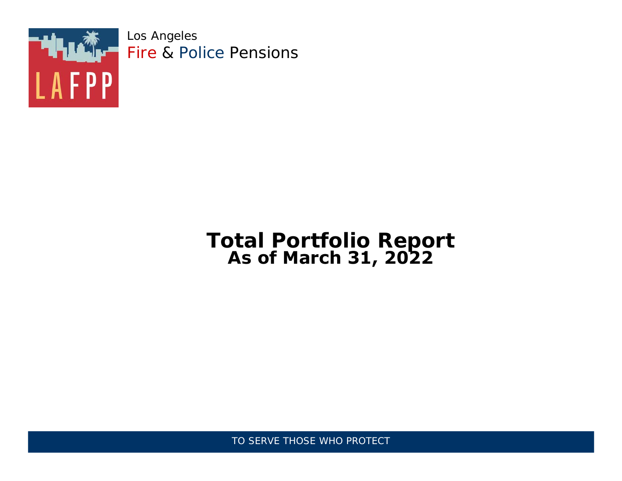

Los Angeles Fire & Police Pensions

## **Total Portfolio Report As ofMarch 31, 2022**

TO SERVE THOSE WHO PROTECT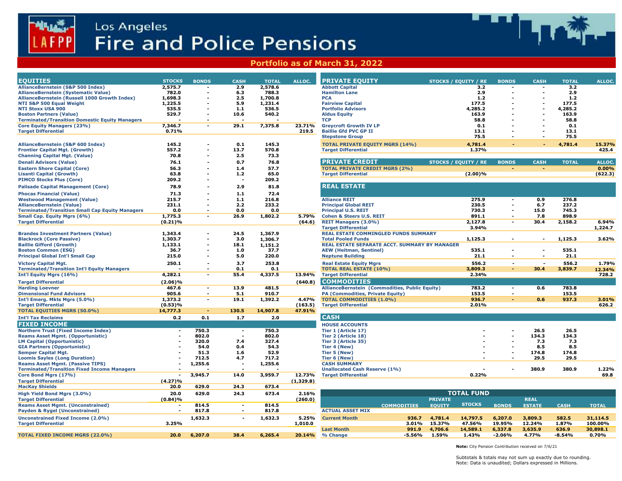



| <b>PRIVATE EQUITY</b><br><b>STOCKS</b><br><b>BONDS</b><br><b>CASH</b><br>ALLOC.<br><b>TOTAL</b><br><b>STOCKS / EQUITY / RE</b><br><b>BONDS</b><br><b>CASH</b><br><b>TOTAL</b><br>ALLOC.<br>2,575.7<br>2.9<br>2,578.6<br><b>Abbott Capital</b><br>3.2<br>3.2<br>$\overline{\phantom{a}}$<br>$\overline{\phantom{a}}$<br>$\overline{\phantom{a}}$<br>782.0<br>6.3<br>788.3<br><b>Hamilton Lane</b><br>2.9<br>2.9<br>1,698.3<br>2.5<br>1,700.8<br>1.2<br><b>PCA</b><br>1.2<br>$\overline{\phantom{a}}$<br>1,225.5<br>5.9<br>1,231.4<br><b>Fairview Capital</b><br>177.5<br>177.5<br>$\overline{\phantom{a}}$<br>$\overline{\phantom{a}}$<br>535.5<br>$1.1$<br>536.5<br><b>Portfolio Advisors</b><br>4,285.2<br>4,285.2<br>529.7<br>10.6<br>540.2<br>163.9<br>163.9<br><b>Aldus Equity</b><br>$\overline{\phantom{a}}$<br>$\overline{\phantom{a}}$<br>$\overline{\phantom{a}}$<br><b>TCP</b><br>58.8<br>58.8<br>$\overline{\phantom{a}}$<br>. .<br>7,346.7<br>29.1<br>7,375.8<br><b>Greycroft Growth IV LP</b><br>0.1<br>0.1<br>23.71%<br>$\blacksquare$<br>$\overline{\phantom{0}}$<br>0.71%<br>219.5<br>13.1<br>13.1<br><b>Baillie Gfd PVC GP II</b><br>$\blacksquare$<br>75.5<br>75.5<br><b>Stepstone Group</b><br>$\blacksquare$<br>$\overline{\phantom{a}}$<br>145.2<br>145.3<br><b>TOTAL PRIVATE EQUITY MGRS (14%)</b><br>4,781.4<br>15.37%<br>0.1<br>4,781.4<br>557.2<br>13.7<br>570.8<br>1.37%<br>425.4<br><b>Target Differential</b><br>70.8<br>2.5<br>73.3<br><b>PRIVATE CREDIT</b><br>76.1<br>0.7<br>76.8<br>STOCKS / EQUITY / RE<br><b>BONDS</b><br><b>CASH</b><br><b>TOTAL</b><br>ALLOC.<br>$\overline{\phantom{a}}$<br>0.00%<br>56.3<br>$1.4$<br>57.7<br><b>TOTAL PRIVATE CREDIT MGRS (2%)</b><br>63.8<br>$1.2$<br>65.0<br><b>Target Differential</b><br>$(2.00)\%$<br>(622.3)<br>$\overline{\phantom{a}}$<br>209.2<br>209.2<br>$\overline{\phantom{a}}$<br><b>REAL ESTATE</b><br>81.8<br>78.9<br>2.9<br>72.4<br>71.3<br>1.1<br>275.9<br>0.9<br>276.8<br>215.7<br>216.8<br><b>Alliance REIT</b><br>$1.1$<br>$\overline{\phantom{a}}$<br>230.5<br>6.7<br>237.2<br>231.1<br>2.2<br>233.2<br><b>Principal Global REIT</b><br>$\overline{\phantom{a}}$<br>$\blacksquare$<br>730.3<br>0.0<br>0.0<br>0.0<br><b>Principal U.S. REIT</b><br>15.0<br>745.3<br>$\blacksquare$<br>898.9<br>1,775.3<br>26.9<br>1,802.2<br><b>Cohen &amp; Steers U.S. REIT</b><br>891.1<br>7.8<br>5.79%<br>$\overline{\phantom{a}}$<br>$\overline{\phantom{a}}$<br>(0.21)%<br>(64.6)<br>2,127.8<br>30.4<br>2,158.2<br>6.94%<br><b>REIT Managers (3.0%)</b><br>$\blacksquare$<br><b>Target Differential</b><br>3.94%<br>1,224.7<br>1,343.4<br>24.5<br>1,367.9<br><b>REAL ESTATE COMMINGLED FUNDS SUMMARY</b><br>$\overline{\phantom{a}}$<br>1,303.7<br>3.0<br>1,125.3<br>1,125.3<br>3.62%<br>1,306.7<br><b>Total Pooled Funds</b><br>$\blacksquare$<br>$\sim$<br>1,133.1<br>18.1<br>1,151.2<br>REAL ESTATE SEPARATE ACCT. SUMMARY BY MANAGER<br>$\overline{\phantom{a}}$<br>535.1<br>36.7<br>1.0<br>37.7<br><b>AEW (Heitman, Sentinel)</b><br>535.1<br>$\overline{\phantom{a}}$<br>$\overline{\phantom{a}}$<br>$\overline{\phantom{a}}$<br>215.0<br>220.0<br><b>Neptune Building</b><br>21.1<br>21.1<br>5.0<br>$\blacksquare$<br>$\blacksquare$<br>$\overline{\phantom{a}}$<br>250.1<br>3.7<br>253.8<br><b>Real Estate Equity Mgrs</b><br>556.2<br>556.2<br>1.79%<br>$\sim$<br>$\overline{\phantom{a}}$<br>$\overline{\phantom{a}}$<br><b>TOTAL REAL ESTATE (10%)</b><br>0.1<br>3,809.3<br>3,839.7<br>0.1<br>30.4<br>$\sim$<br>12.34%<br>$\overline{\phantom{a}}$<br>55.4<br><b>Target Differential</b><br>4,282.1<br>4,337.5<br>13.94%<br>2.34%<br>728.2<br>$\overline{\phantom{a}}$<br><b>COMMODITIES</b><br>$(2.06)\%$<br>(640.8)<br>783.8<br>467.6<br>13.9<br>481.5<br>AllianceBernstein (Commodities, Public Equity)<br>783.2<br>0.6<br>$\sim$<br>$\sim$<br>905.6<br>153.5<br>153.5<br>910.7<br>PA (Commodities, Private Equity)<br>5.1<br>$\overline{\phantom{a}}$<br>$\overline{\phantom{a}}$<br>1,373.2<br>19.1<br>1,392.2<br>4.47%<br><b>TOTAL COMMODITIES (1.0%)</b><br>936.7<br>0.6<br>937.3<br>3.01%<br>$\overline{\phantom{a}}$<br>$\blacksquare$<br>(0.53)%<br>(163.5)<br><b>Target Differential</b><br>2.01%<br>626.2<br>130.5<br>14,907.8<br>14,777.3<br>47.91%<br>$\sim$<br><b>CASH</b><br>0.2<br>0.1<br>1.7<br>2.0<br><b>HOUSE ACCOUNTS</b><br>750.3<br>750.3<br>26.5<br>26.5<br>Tier 1 (Article 17)<br>$\sim$<br>$\overline{\phantom{a}}$<br>802.0<br>802.0<br>134.3<br>134.3<br>Tier 2 (Article 18)<br>$\overline{\phantom{a}}$<br>$\blacksquare$<br>320.0<br>7.4<br>327.4<br>Tier 3 (Article 35)<br>7.3<br>7.3<br>$\overline{\phantom{a}}$<br>8.5<br>54.0<br>54.3<br>8.5<br>0.4<br>Tier 4 (New)<br>52.9<br>174.8<br>51.3<br>1.6<br>Tier 5 (New)<br>174.8<br>$\blacksquare$<br>712.5<br>717.2<br>29.5<br>29.5<br>4.7<br>Tier 6 (New)<br>$\overline{\phantom{a}}$<br>1,255.6<br>1,255.6<br><b>CASH SUMMARY</b><br>$\overline{\phantom{a}}$<br>380.9<br>380.9<br>1.22%<br><b>Unallocated Cash Reserve (1%)</b><br>$\overline{\phantom{a}}$<br>0.22%<br>3,945.7<br>3,959.7<br><b>Target Differential</b><br>69.8<br>14.0<br>12.73%<br>$\overline{\phantom{a}}$<br>(4.27)%<br>(1,329.8)<br>629.0<br>24.3<br>673.4<br>20.0<br><b>TOTAL FUND</b><br>629.0<br>2.16%<br>20.0<br>24.3<br>673.4<br><b>REAL</b><br>(0.84)%<br>(260.0)<br><b>PRIVATE</b><br>814.5<br>814.5<br><b>COMMODITIES EQUITY</b><br>SIUCKS BONDS ESTATE<br><b>CASH</b><br>$\overline{\phantom{a}}$ TOTAL $\overline{\phantom{a}}$<br>817.8<br>817.8<br><b>ACTUAL ASSET MIX</b><br>$\sim$<br>$\overline{\phantom{a}}$<br>1,632.3<br>1,632.3<br>5.25%<br>936.7<br>4,781.4<br>14,797.5<br>6,207.0<br>3,809.3<br>582.5<br>31,114.5<br><b>Current Month</b><br>$\overline{\phantom{0}}$<br>3.25%<br>15.37%<br>100.00%<br>1,010.0<br>3.01%<br>47.56%<br>19.95%<br>12.24%<br>1.87%<br><b>Last Month</b><br>991.9<br>4,706.6<br>14,589.1<br>6,337.8<br>3,635.9<br>636.9<br>30,898.1<br>1.59%<br>4.77%<br>20.0<br>6,207.0<br>38.4<br>6,265.4<br>20.14% % Change<br>-5.56%<br>1.43%<br>-2.06%<br>$-8.54%$<br>0.70%<br>Note: City Pension Contribution received on 7/6/21<br>Subtotals & totals may not sum up exactly due to rounding.<br>Note: Data is unaudited; Dollars expressed in Millions. |  |  |  |  | <b>EQUITIES</b><br>AllianceBernstein (S&P 500 Index)<br>AllianceBernstein (Systematic Value)<br>AllianceBernstein (Russell 1000 Growth Index)<br>NTI S&P 500 Equal Weight<br><b>NTI Stoxx USA 900</b><br><b>Boston Partners (Value)</b><br><b>Terminated/Transition Domestic Equity Managers</b><br><b>Core Equity Managers (23%)</b><br><b>Target Differential</b><br>AllianceBernstein (S&P 600 Index)<br><b>Frontier Capital Mgt. (Growth)</b><br><b>Channing Capital Mgt. (Value)</b><br><b>Denali Advisors (Value)</b><br><b>Eastern Shore Capital (Core)</b><br><b>Lisanti Capital (Growth)</b><br><b>Palisade Capital Management (Core)</b><br><b>Phocas Financial (Value)</b><br><b>Westwood Management (Value)</b><br><b>AllianceBernstein (Value)</b><br><b>Terminated/Transition Small Cap Equity Managers</b><br>Small Cap. Equity Mgrs (6%)<br><b>Target Differential</b><br><b>Brandes Investment Partners (Value)</b><br><b>Blackrock (Core Passive)</b><br><b>Baillie Gifford (Growth)</b><br><b>Boston Common (ESG)</b><br><b>Principal Global Int'l Small Cap</b><br><b>Victory Capital Mgt.</b><br><b>Terminated/Transition Int'l Equity Managers</b><br>Int'l Equity Mgrs (16%)<br><b>Target Differential</b><br><b>Harding Loevner</b><br><b>Dimensional Fund Advisors</b><br><b>Target Differential</b><br><b>TOTAL EQUITIES MGRS (50.0%)</b><br><b>Northern Trust (Fixed Income Index)</b><br><b>Reams Asset Mgmt. (Opportunistic)</b><br><b>LM Capital (Opportunistic)</b><br><b>Semper Capital Mgt.</b><br><b>Loomis Sayles (Long Duration)</b><br><b>Reams Asset Mgmt. (Passive TIPS)</b><br><b>Terminated/Transition Fixed Income Managers</b><br>Core Bond Mgrs (17%)<br><b>Target Differential</b><br><b>MacKay Shields</b><br>High Yield Bond Mgrs (3.0%)<br><b>Target Differential</b><br><b>Reams Asset Mgmt. (Unconstrained)</b><br><b>Payden &amp; Rygel (Unconstrained)</b><br><b>Unconstrained Fixed Income (2.0%)</b><br><b>Target Differential</b><br><b>TOTAL FIXED INCOME MGRS (22.0%)</b> | Int'l Emerg. Mkts Mgrs (5.0%)<br><b>Int'l Tax Reclaims</b><br><b>GIA Partners (Opportunistic)</b> |                                 |  |  | Portfolio as of March 31, 2022 |  |  |  |
|----------------------------------------------------------------------------------------------------------------------------------------------------------------------------------------------------------------------------------------------------------------------------------------------------------------------------------------------------------------------------------------------------------------------------------------------------------------------------------------------------------------------------------------------------------------------------------------------------------------------------------------------------------------------------------------------------------------------------------------------------------------------------------------------------------------------------------------------------------------------------------------------------------------------------------------------------------------------------------------------------------------------------------------------------------------------------------------------------------------------------------------------------------------------------------------------------------------------------------------------------------------------------------------------------------------------------------------------------------------------------------------------------------------------------------------------------------------------------------------------------------------------------------------------------------------------------------------------------------------------------------------------------------------------------------------------------------------------------------------------------------------------------------------------------------------------------------------------------------------------------------------------------------------------------------------------------------------------------------------------------------------------------------------------------------------------------------------------------------------------------------------------------------------------------------------------------------------------------------------------------------------------------------------------------------------------------------------------------------------------------------------------------------------------------------------------------------------------------------------------------------------------------------------------------------------------------------------------------------------------------------------------------------------------------------------------------------------------------------------------------------------------------------------------------------------------------------------------------------------------------------------------------------------------------------------------------------------------------------------------------------------------------------------------------------------------------------------------------------------------------------------------------------------------------------------------------------------------------------------------------------------------------------------------------------------------------------------------------------------------------------------------------------------------------------------------------------------------------------------------------------------------------------------------------------------------------------------------------------------------------------------------------------------------------------------------------------------------------------------------------------------------------------------------------------------------------------------------------------------------------------------------------------------------------------------------------------------------------------------------------------------------------------------------------------------------------------------------------------------------------------------------------------------------------------------------------------------------------------------------------------------------------------------------------------------------------------------------------------------------------------------------------------------------------------------------------------------------------------------------------------------------------------------------------------------------------------------------------------------------------------------------------------------------------------------------------------------------------------------------------------------------------------------------------------------------------------------------------------------------------------------------------------------------------------------------------------------------------------------------------------------------------------------------------------------------------------------------------------------------------------------------------------------------------------------------------------------------------------------------------------------------------------------------------------------------------------------------------------------------------------------------------------------------------------------------------------------------------------------------------------------------------------------------------------------------------------------------------------------------------------------------------------------------------------------------------------------------------------------------------------------------------------------------------------------------------------------------------------------------------------------------------------------------------------------------------------------------------------------------------------------------------------------------------------------------------------------------------------------------------------------------------------------------------------------------------------------------------------------------------|--|--|--|--|------------------------------------------------------------------------------------------------------------------------------------------------------------------------------------------------------------------------------------------------------------------------------------------------------------------------------------------------------------------------------------------------------------------------------------------------------------------------------------------------------------------------------------------------------------------------------------------------------------------------------------------------------------------------------------------------------------------------------------------------------------------------------------------------------------------------------------------------------------------------------------------------------------------------------------------------------------------------------------------------------------------------------------------------------------------------------------------------------------------------------------------------------------------------------------------------------------------------------------------------------------------------------------------------------------------------------------------------------------------------------------------------------------------------------------------------------------------------------------------------------------------------------------------------------------------------------------------------------------------------------------------------------------------------------------------------------------------------------------------------------------------------------------------------------------------------------------------------------------------------------------------------------------------------------------------------------------------------------------------------------------------------------------|---------------------------------------------------------------------------------------------------|---------------------------------|--|--|--------------------------------|--|--|--|
|                                                                                                                                                                                                                                                                                                                                                                                                                                                                                                                                                                                                                                                                                                                                                                                                                                                                                                                                                                                                                                                                                                                                                                                                                                                                                                                                                                                                                                                                                                                                                                                                                                                                                                                                                                                                                                                                                                                                                                                                                                                                                                                                                                                                                                                                                                                                                                                                                                                                                                                                                                                                                                                                                                                                                                                                                                                                                                                                                                                                                                                                                                                                                                                                                                                                                                                                                                                                                                                                                                                                                                                                                                                                                                                                                                                                                                                                                                                                                                                                                                                                                                                                                                                                                                                                                                                                                                                                                                                                                                                                                                                                                                                                                                                                                                                                                                                                                                                                                                                                                                                                                                                                                                                                                                                                                                                                                                                                                                                                                                                                                                                                                                                                                                                                                                                                                                                                                                                                                                                                                                                                                                                                                                                                                                                    |  |  |  |  |                                                                                                                                                                                                                                                                                                                                                                                                                                                                                                                                                                                                                                                                                                                                                                                                                                                                                                                                                                                                                                                                                                                                                                                                                                                                                                                                                                                                                                                                                                                                                                                                                                                                                                                                                                                                                                                                                                                                                                                                                                    |                                                                                                   |                                 |  |  |                                |  |  |  |
|                                                                                                                                                                                                                                                                                                                                                                                                                                                                                                                                                                                                                                                                                                                                                                                                                                                                                                                                                                                                                                                                                                                                                                                                                                                                                                                                                                                                                                                                                                                                                                                                                                                                                                                                                                                                                                                                                                                                                                                                                                                                                                                                                                                                                                                                                                                                                                                                                                                                                                                                                                                                                                                                                                                                                                                                                                                                                                                                                                                                                                                                                                                                                                                                                                                                                                                                                                                                                                                                                                                                                                                                                                                                                                                                                                                                                                                                                                                                                                                                                                                                                                                                                                                                                                                                                                                                                                                                                                                                                                                                                                                                                                                                                                                                                                                                                                                                                                                                                                                                                                                                                                                                                                                                                                                                                                                                                                                                                                                                                                                                                                                                                                                                                                                                                                                                                                                                                                                                                                                                                                                                                                                                                                                                                                                    |  |  |  |  |                                                                                                                                                                                                                                                                                                                                                                                                                                                                                                                                                                                                                                                                                                                                                                                                                                                                                                                                                                                                                                                                                                                                                                                                                                                                                                                                                                                                                                                                                                                                                                                                                                                                                                                                                                                                                                                                                                                                                                                                                                    |                                                                                                   |                                 |  |  |                                |  |  |  |
|                                                                                                                                                                                                                                                                                                                                                                                                                                                                                                                                                                                                                                                                                                                                                                                                                                                                                                                                                                                                                                                                                                                                                                                                                                                                                                                                                                                                                                                                                                                                                                                                                                                                                                                                                                                                                                                                                                                                                                                                                                                                                                                                                                                                                                                                                                                                                                                                                                                                                                                                                                                                                                                                                                                                                                                                                                                                                                                                                                                                                                                                                                                                                                                                                                                                                                                                                                                                                                                                                                                                                                                                                                                                                                                                                                                                                                                                                                                                                                                                                                                                                                                                                                                                                                                                                                                                                                                                                                                                                                                                                                                                                                                                                                                                                                                                                                                                                                                                                                                                                                                                                                                                                                                                                                                                                                                                                                                                                                                                                                                                                                                                                                                                                                                                                                                                                                                                                                                                                                                                                                                                                                                                                                                                                                                    |  |  |  |  |                                                                                                                                                                                                                                                                                                                                                                                                                                                                                                                                                                                                                                                                                                                                                                                                                                                                                                                                                                                                                                                                                                                                                                                                                                                                                                                                                                                                                                                                                                                                                                                                                                                                                                                                                                                                                                                                                                                                                                                                                                    |                                                                                                   |                                 |  |  |                                |  |  |  |
|                                                                                                                                                                                                                                                                                                                                                                                                                                                                                                                                                                                                                                                                                                                                                                                                                                                                                                                                                                                                                                                                                                                                                                                                                                                                                                                                                                                                                                                                                                                                                                                                                                                                                                                                                                                                                                                                                                                                                                                                                                                                                                                                                                                                                                                                                                                                                                                                                                                                                                                                                                                                                                                                                                                                                                                                                                                                                                                                                                                                                                                                                                                                                                                                                                                                                                                                                                                                                                                                                                                                                                                                                                                                                                                                                                                                                                                                                                                                                                                                                                                                                                                                                                                                                                                                                                                                                                                                                                                                                                                                                                                                                                                                                                                                                                                                                                                                                                                                                                                                                                                                                                                                                                                                                                                                                                                                                                                                                                                                                                                                                                                                                                                                                                                                                                                                                                                                                                                                                                                                                                                                                                                                                                                                                                                    |  |  |  |  |                                                                                                                                                                                                                                                                                                                                                                                                                                                                                                                                                                                                                                                                                                                                                                                                                                                                                                                                                                                                                                                                                                                                                                                                                                                                                                                                                                                                                                                                                                                                                                                                                                                                                                                                                                                                                                                                                                                                                                                                                                    |                                                                                                   |                                 |  |  |                                |  |  |  |
|                                                                                                                                                                                                                                                                                                                                                                                                                                                                                                                                                                                                                                                                                                                                                                                                                                                                                                                                                                                                                                                                                                                                                                                                                                                                                                                                                                                                                                                                                                                                                                                                                                                                                                                                                                                                                                                                                                                                                                                                                                                                                                                                                                                                                                                                                                                                                                                                                                                                                                                                                                                                                                                                                                                                                                                                                                                                                                                                                                                                                                                                                                                                                                                                                                                                                                                                                                                                                                                                                                                                                                                                                                                                                                                                                                                                                                                                                                                                                                                                                                                                                                                                                                                                                                                                                                                                                                                                                                                                                                                                                                                                                                                                                                                                                                                                                                                                                                                                                                                                                                                                                                                                                                                                                                                                                                                                                                                                                                                                                                                                                                                                                                                                                                                                                                                                                                                                                                                                                                                                                                                                                                                                                                                                                                                    |  |  |  |  |                                                                                                                                                                                                                                                                                                                                                                                                                                                                                                                                                                                                                                                                                                                                                                                                                                                                                                                                                                                                                                                                                                                                                                                                                                                                                                                                                                                                                                                                                                                                                                                                                                                                                                                                                                                                                                                                                                                                                                                                                                    |                                                                                                   |                                 |  |  |                                |  |  |  |
|                                                                                                                                                                                                                                                                                                                                                                                                                                                                                                                                                                                                                                                                                                                                                                                                                                                                                                                                                                                                                                                                                                                                                                                                                                                                                                                                                                                                                                                                                                                                                                                                                                                                                                                                                                                                                                                                                                                                                                                                                                                                                                                                                                                                                                                                                                                                                                                                                                                                                                                                                                                                                                                                                                                                                                                                                                                                                                                                                                                                                                                                                                                                                                                                                                                                                                                                                                                                                                                                                                                                                                                                                                                                                                                                                                                                                                                                                                                                                                                                                                                                                                                                                                                                                                                                                                                                                                                                                                                                                                                                                                                                                                                                                                                                                                                                                                                                                                                                                                                                                                                                                                                                                                                                                                                                                                                                                                                                                                                                                                                                                                                                                                                                                                                                                                                                                                                                                                                                                                                                                                                                                                                                                                                                                                                    |  |  |  |  |                                                                                                                                                                                                                                                                                                                                                                                                                                                                                                                                                                                                                                                                                                                                                                                                                                                                                                                                                                                                                                                                                                                                                                                                                                                                                                                                                                                                                                                                                                                                                                                                                                                                                                                                                                                                                                                                                                                                                                                                                                    |                                                                                                   |                                 |  |  |                                |  |  |  |
|                                                                                                                                                                                                                                                                                                                                                                                                                                                                                                                                                                                                                                                                                                                                                                                                                                                                                                                                                                                                                                                                                                                                                                                                                                                                                                                                                                                                                                                                                                                                                                                                                                                                                                                                                                                                                                                                                                                                                                                                                                                                                                                                                                                                                                                                                                                                                                                                                                                                                                                                                                                                                                                                                                                                                                                                                                                                                                                                                                                                                                                                                                                                                                                                                                                                                                                                                                                                                                                                                                                                                                                                                                                                                                                                                                                                                                                                                                                                                                                                                                                                                                                                                                                                                                                                                                                                                                                                                                                                                                                                                                                                                                                                                                                                                                                                                                                                                                                                                                                                                                                                                                                                                                                                                                                                                                                                                                                                                                                                                                                                                                                                                                                                                                                                                                                                                                                                                                                                                                                                                                                                                                                                                                                                                                                    |  |  |  |  |                                                                                                                                                                                                                                                                                                                                                                                                                                                                                                                                                                                                                                                                                                                                                                                                                                                                                                                                                                                                                                                                                                                                                                                                                                                                                                                                                                                                                                                                                                                                                                                                                                                                                                                                                                                                                                                                                                                                                                                                                                    |                                                                                                   |                                 |  |  |                                |  |  |  |
|                                                                                                                                                                                                                                                                                                                                                                                                                                                                                                                                                                                                                                                                                                                                                                                                                                                                                                                                                                                                                                                                                                                                                                                                                                                                                                                                                                                                                                                                                                                                                                                                                                                                                                                                                                                                                                                                                                                                                                                                                                                                                                                                                                                                                                                                                                                                                                                                                                                                                                                                                                                                                                                                                                                                                                                                                                                                                                                                                                                                                                                                                                                                                                                                                                                                                                                                                                                                                                                                                                                                                                                                                                                                                                                                                                                                                                                                                                                                                                                                                                                                                                                                                                                                                                                                                                                                                                                                                                                                                                                                                                                                                                                                                                                                                                                                                                                                                                                                                                                                                                                                                                                                                                                                                                                                                                                                                                                                                                                                                                                                                                                                                                                                                                                                                                                                                                                                                                                                                                                                                                                                                                                                                                                                                                                    |  |  |  |  |                                                                                                                                                                                                                                                                                                                                                                                                                                                                                                                                                                                                                                                                                                                                                                                                                                                                                                                                                                                                                                                                                                                                                                                                                                                                                                                                                                                                                                                                                                                                                                                                                                                                                                                                                                                                                                                                                                                                                                                                                                    |                                                                                                   |                                 |  |  |                                |  |  |  |
|                                                                                                                                                                                                                                                                                                                                                                                                                                                                                                                                                                                                                                                                                                                                                                                                                                                                                                                                                                                                                                                                                                                                                                                                                                                                                                                                                                                                                                                                                                                                                                                                                                                                                                                                                                                                                                                                                                                                                                                                                                                                                                                                                                                                                                                                                                                                                                                                                                                                                                                                                                                                                                                                                                                                                                                                                                                                                                                                                                                                                                                                                                                                                                                                                                                                                                                                                                                                                                                                                                                                                                                                                                                                                                                                                                                                                                                                                                                                                                                                                                                                                                                                                                                                                                                                                                                                                                                                                                                                                                                                                                                                                                                                                                                                                                                                                                                                                                                                                                                                                                                                                                                                                                                                                                                                                                                                                                                                                                                                                                                                                                                                                                                                                                                                                                                                                                                                                                                                                                                                                                                                                                                                                                                                                                                    |  |  |  |  |                                                                                                                                                                                                                                                                                                                                                                                                                                                                                                                                                                                                                                                                                                                                                                                                                                                                                                                                                                                                                                                                                                                                                                                                                                                                                                                                                                                                                                                                                                                                                                                                                                                                                                                                                                                                                                                                                                                                                                                                                                    |                                                                                                   |                                 |  |  |                                |  |  |  |
|                                                                                                                                                                                                                                                                                                                                                                                                                                                                                                                                                                                                                                                                                                                                                                                                                                                                                                                                                                                                                                                                                                                                                                                                                                                                                                                                                                                                                                                                                                                                                                                                                                                                                                                                                                                                                                                                                                                                                                                                                                                                                                                                                                                                                                                                                                                                                                                                                                                                                                                                                                                                                                                                                                                                                                                                                                                                                                                                                                                                                                                                                                                                                                                                                                                                                                                                                                                                                                                                                                                                                                                                                                                                                                                                                                                                                                                                                                                                                                                                                                                                                                                                                                                                                                                                                                                                                                                                                                                                                                                                                                                                                                                                                                                                                                                                                                                                                                                                                                                                                                                                                                                                                                                                                                                                                                                                                                                                                                                                                                                                                                                                                                                                                                                                                                                                                                                                                                                                                                                                                                                                                                                                                                                                                                                    |  |  |  |  |                                                                                                                                                                                                                                                                                                                                                                                                                                                                                                                                                                                                                                                                                                                                                                                                                                                                                                                                                                                                                                                                                                                                                                                                                                                                                                                                                                                                                                                                                                                                                                                                                                                                                                                                                                                                                                                                                                                                                                                                                                    |                                                                                                   |                                 |  |  |                                |  |  |  |
|                                                                                                                                                                                                                                                                                                                                                                                                                                                                                                                                                                                                                                                                                                                                                                                                                                                                                                                                                                                                                                                                                                                                                                                                                                                                                                                                                                                                                                                                                                                                                                                                                                                                                                                                                                                                                                                                                                                                                                                                                                                                                                                                                                                                                                                                                                                                                                                                                                                                                                                                                                                                                                                                                                                                                                                                                                                                                                                                                                                                                                                                                                                                                                                                                                                                                                                                                                                                                                                                                                                                                                                                                                                                                                                                                                                                                                                                                                                                                                                                                                                                                                                                                                                                                                                                                                                                                                                                                                                                                                                                                                                                                                                                                                                                                                                                                                                                                                                                                                                                                                                                                                                                                                                                                                                                                                                                                                                                                                                                                                                                                                                                                                                                                                                                                                                                                                                                                                                                                                                                                                                                                                                                                                                                                                                    |  |  |  |  |                                                                                                                                                                                                                                                                                                                                                                                                                                                                                                                                                                                                                                                                                                                                                                                                                                                                                                                                                                                                                                                                                                                                                                                                                                                                                                                                                                                                                                                                                                                                                                                                                                                                                                                                                                                                                                                                                                                                                                                                                                    |                                                                                                   | <b>PIMCO Stocks Plus (Core)</b> |  |  |                                |  |  |  |
|                                                                                                                                                                                                                                                                                                                                                                                                                                                                                                                                                                                                                                                                                                                                                                                                                                                                                                                                                                                                                                                                                                                                                                                                                                                                                                                                                                                                                                                                                                                                                                                                                                                                                                                                                                                                                                                                                                                                                                                                                                                                                                                                                                                                                                                                                                                                                                                                                                                                                                                                                                                                                                                                                                                                                                                                                                                                                                                                                                                                                                                                                                                                                                                                                                                                                                                                                                                                                                                                                                                                                                                                                                                                                                                                                                                                                                                                                                                                                                                                                                                                                                                                                                                                                                                                                                                                                                                                                                                                                                                                                                                                                                                                                                                                                                                                                                                                                                                                                                                                                                                                                                                                                                                                                                                                                                                                                                                                                                                                                                                                                                                                                                                                                                                                                                                                                                                                                                                                                                                                                                                                                                                                                                                                                                                    |  |  |  |  |                                                                                                                                                                                                                                                                                                                                                                                                                                                                                                                                                                                                                                                                                                                                                                                                                                                                                                                                                                                                                                                                                                                                                                                                                                                                                                                                                                                                                                                                                                                                                                                                                                                                                                                                                                                                                                                                                                                                                                                                                                    |                                                                                                   |                                 |  |  |                                |  |  |  |
|                                                                                                                                                                                                                                                                                                                                                                                                                                                                                                                                                                                                                                                                                                                                                                                                                                                                                                                                                                                                                                                                                                                                                                                                                                                                                                                                                                                                                                                                                                                                                                                                                                                                                                                                                                                                                                                                                                                                                                                                                                                                                                                                                                                                                                                                                                                                                                                                                                                                                                                                                                                                                                                                                                                                                                                                                                                                                                                                                                                                                                                                                                                                                                                                                                                                                                                                                                                                                                                                                                                                                                                                                                                                                                                                                                                                                                                                                                                                                                                                                                                                                                                                                                                                                                                                                                                                                                                                                                                                                                                                                                                                                                                                                                                                                                                                                                                                                                                                                                                                                                                                                                                                                                                                                                                                                                                                                                                                                                                                                                                                                                                                                                                                                                                                                                                                                                                                                                                                                                                                                                                                                                                                                                                                                                                    |  |  |  |  |                                                                                                                                                                                                                                                                                                                                                                                                                                                                                                                                                                                                                                                                                                                                                                                                                                                                                                                                                                                                                                                                                                                                                                                                                                                                                                                                                                                                                                                                                                                                                                                                                                                                                                                                                                                                                                                                                                                                                                                                                                    |                                                                                                   |                                 |  |  |                                |  |  |  |
|                                                                                                                                                                                                                                                                                                                                                                                                                                                                                                                                                                                                                                                                                                                                                                                                                                                                                                                                                                                                                                                                                                                                                                                                                                                                                                                                                                                                                                                                                                                                                                                                                                                                                                                                                                                                                                                                                                                                                                                                                                                                                                                                                                                                                                                                                                                                                                                                                                                                                                                                                                                                                                                                                                                                                                                                                                                                                                                                                                                                                                                                                                                                                                                                                                                                                                                                                                                                                                                                                                                                                                                                                                                                                                                                                                                                                                                                                                                                                                                                                                                                                                                                                                                                                                                                                                                                                                                                                                                                                                                                                                                                                                                                                                                                                                                                                                                                                                                                                                                                                                                                                                                                                                                                                                                                                                                                                                                                                                                                                                                                                                                                                                                                                                                                                                                                                                                                                                                                                                                                                                                                                                                                                                                                                                                    |  |  |  |  |                                                                                                                                                                                                                                                                                                                                                                                                                                                                                                                                                                                                                                                                                                                                                                                                                                                                                                                                                                                                                                                                                                                                                                                                                                                                                                                                                                                                                                                                                                                                                                                                                                                                                                                                                                                                                                                                                                                                                                                                                                    |                                                                                                   |                                 |  |  |                                |  |  |  |
|                                                                                                                                                                                                                                                                                                                                                                                                                                                                                                                                                                                                                                                                                                                                                                                                                                                                                                                                                                                                                                                                                                                                                                                                                                                                                                                                                                                                                                                                                                                                                                                                                                                                                                                                                                                                                                                                                                                                                                                                                                                                                                                                                                                                                                                                                                                                                                                                                                                                                                                                                                                                                                                                                                                                                                                                                                                                                                                                                                                                                                                                                                                                                                                                                                                                                                                                                                                                                                                                                                                                                                                                                                                                                                                                                                                                                                                                                                                                                                                                                                                                                                                                                                                                                                                                                                                                                                                                                                                                                                                                                                                                                                                                                                                                                                                                                                                                                                                                                                                                                                                                                                                                                                                                                                                                                                                                                                                                                                                                                                                                                                                                                                                                                                                                                                                                                                                                                                                                                                                                                                                                                                                                                                                                                                                    |  |  |  |  |                                                                                                                                                                                                                                                                                                                                                                                                                                                                                                                                                                                                                                                                                                                                                                                                                                                                                                                                                                                                                                                                                                                                                                                                                                                                                                                                                                                                                                                                                                                                                                                                                                                                                                                                                                                                                                                                                                                                                                                                                                    |                                                                                                   |                                 |  |  |                                |  |  |  |
|                                                                                                                                                                                                                                                                                                                                                                                                                                                                                                                                                                                                                                                                                                                                                                                                                                                                                                                                                                                                                                                                                                                                                                                                                                                                                                                                                                                                                                                                                                                                                                                                                                                                                                                                                                                                                                                                                                                                                                                                                                                                                                                                                                                                                                                                                                                                                                                                                                                                                                                                                                                                                                                                                                                                                                                                                                                                                                                                                                                                                                                                                                                                                                                                                                                                                                                                                                                                                                                                                                                                                                                                                                                                                                                                                                                                                                                                                                                                                                                                                                                                                                                                                                                                                                                                                                                                                                                                                                                                                                                                                                                                                                                                                                                                                                                                                                                                                                                                                                                                                                                                                                                                                                                                                                                                                                                                                                                                                                                                                                                                                                                                                                                                                                                                                                                                                                                                                                                                                                                                                                                                                                                                                                                                                                                    |  |  |  |  |                                                                                                                                                                                                                                                                                                                                                                                                                                                                                                                                                                                                                                                                                                                                                                                                                                                                                                                                                                                                                                                                                                                                                                                                                                                                                                                                                                                                                                                                                                                                                                                                                                                                                                                                                                                                                                                                                                                                                                                                                                    |                                                                                                   |                                 |  |  |                                |  |  |  |
|                                                                                                                                                                                                                                                                                                                                                                                                                                                                                                                                                                                                                                                                                                                                                                                                                                                                                                                                                                                                                                                                                                                                                                                                                                                                                                                                                                                                                                                                                                                                                                                                                                                                                                                                                                                                                                                                                                                                                                                                                                                                                                                                                                                                                                                                                                                                                                                                                                                                                                                                                                                                                                                                                                                                                                                                                                                                                                                                                                                                                                                                                                                                                                                                                                                                                                                                                                                                                                                                                                                                                                                                                                                                                                                                                                                                                                                                                                                                                                                                                                                                                                                                                                                                                                                                                                                                                                                                                                                                                                                                                                                                                                                                                                                                                                                                                                                                                                                                                                                                                                                                                                                                                                                                                                                                                                                                                                                                                                                                                                                                                                                                                                                                                                                                                                                                                                                                                                                                                                                                                                                                                                                                                                                                                                                    |  |  |  |  |                                                                                                                                                                                                                                                                                                                                                                                                                                                                                                                                                                                                                                                                                                                                                                                                                                                                                                                                                                                                                                                                                                                                                                                                                                                                                                                                                                                                                                                                                                                                                                                                                                                                                                                                                                                                                                                                                                                                                                                                                                    |                                                                                                   |                                 |  |  |                                |  |  |  |
|                                                                                                                                                                                                                                                                                                                                                                                                                                                                                                                                                                                                                                                                                                                                                                                                                                                                                                                                                                                                                                                                                                                                                                                                                                                                                                                                                                                                                                                                                                                                                                                                                                                                                                                                                                                                                                                                                                                                                                                                                                                                                                                                                                                                                                                                                                                                                                                                                                                                                                                                                                                                                                                                                                                                                                                                                                                                                                                                                                                                                                                                                                                                                                                                                                                                                                                                                                                                                                                                                                                                                                                                                                                                                                                                                                                                                                                                                                                                                                                                                                                                                                                                                                                                                                                                                                                                                                                                                                                                                                                                                                                                                                                                                                                                                                                                                                                                                                                                                                                                                                                                                                                                                                                                                                                                                                                                                                                                                                                                                                                                                                                                                                                                                                                                                                                                                                                                                                                                                                                                                                                                                                                                                                                                                                                    |  |  |  |  |                                                                                                                                                                                                                                                                                                                                                                                                                                                                                                                                                                                                                                                                                                                                                                                                                                                                                                                                                                                                                                                                                                                                                                                                                                                                                                                                                                                                                                                                                                                                                                                                                                                                                                                                                                                                                                                                                                                                                                                                                                    |                                                                                                   |                                 |  |  |                                |  |  |  |
|                                                                                                                                                                                                                                                                                                                                                                                                                                                                                                                                                                                                                                                                                                                                                                                                                                                                                                                                                                                                                                                                                                                                                                                                                                                                                                                                                                                                                                                                                                                                                                                                                                                                                                                                                                                                                                                                                                                                                                                                                                                                                                                                                                                                                                                                                                                                                                                                                                                                                                                                                                                                                                                                                                                                                                                                                                                                                                                                                                                                                                                                                                                                                                                                                                                                                                                                                                                                                                                                                                                                                                                                                                                                                                                                                                                                                                                                                                                                                                                                                                                                                                                                                                                                                                                                                                                                                                                                                                                                                                                                                                                                                                                                                                                                                                                                                                                                                                                                                                                                                                                                                                                                                                                                                                                                                                                                                                                                                                                                                                                                                                                                                                                                                                                                                                                                                                                                                                                                                                                                                                                                                                                                                                                                                                                    |  |  |  |  |                                                                                                                                                                                                                                                                                                                                                                                                                                                                                                                                                                                                                                                                                                                                                                                                                                                                                                                                                                                                                                                                                                                                                                                                                                                                                                                                                                                                                                                                                                                                                                                                                                                                                                                                                                                                                                                                                                                                                                                                                                    |                                                                                                   |                                 |  |  |                                |  |  |  |
|                                                                                                                                                                                                                                                                                                                                                                                                                                                                                                                                                                                                                                                                                                                                                                                                                                                                                                                                                                                                                                                                                                                                                                                                                                                                                                                                                                                                                                                                                                                                                                                                                                                                                                                                                                                                                                                                                                                                                                                                                                                                                                                                                                                                                                                                                                                                                                                                                                                                                                                                                                                                                                                                                                                                                                                                                                                                                                                                                                                                                                                                                                                                                                                                                                                                                                                                                                                                                                                                                                                                                                                                                                                                                                                                                                                                                                                                                                                                                                                                                                                                                                                                                                                                                                                                                                                                                                                                                                                                                                                                                                                                                                                                                                                                                                                                                                                                                                                                                                                                                                                                                                                                                                                                                                                                                                                                                                                                                                                                                                                                                                                                                                                                                                                                                                                                                                                                                                                                                                                                                                                                                                                                                                                                                                                    |  |  |  |  |                                                                                                                                                                                                                                                                                                                                                                                                                                                                                                                                                                                                                                                                                                                                                                                                                                                                                                                                                                                                                                                                                                                                                                                                                                                                                                                                                                                                                                                                                                                                                                                                                                                                                                                                                                                                                                                                                                                                                                                                                                    |                                                                                                   |                                 |  |  |                                |  |  |  |
|                                                                                                                                                                                                                                                                                                                                                                                                                                                                                                                                                                                                                                                                                                                                                                                                                                                                                                                                                                                                                                                                                                                                                                                                                                                                                                                                                                                                                                                                                                                                                                                                                                                                                                                                                                                                                                                                                                                                                                                                                                                                                                                                                                                                                                                                                                                                                                                                                                                                                                                                                                                                                                                                                                                                                                                                                                                                                                                                                                                                                                                                                                                                                                                                                                                                                                                                                                                                                                                                                                                                                                                                                                                                                                                                                                                                                                                                                                                                                                                                                                                                                                                                                                                                                                                                                                                                                                                                                                                                                                                                                                                                                                                                                                                                                                                                                                                                                                                                                                                                                                                                                                                                                                                                                                                                                                                                                                                                                                                                                                                                                                                                                                                                                                                                                                                                                                                                                                                                                                                                                                                                                                                                                                                                                                                    |  |  |  |  |                                                                                                                                                                                                                                                                                                                                                                                                                                                                                                                                                                                                                                                                                                                                                                                                                                                                                                                                                                                                                                                                                                                                                                                                                                                                                                                                                                                                                                                                                                                                                                                                                                                                                                                                                                                                                                                                                                                                                                                                                                    |                                                                                                   |                                 |  |  |                                |  |  |  |
|                                                                                                                                                                                                                                                                                                                                                                                                                                                                                                                                                                                                                                                                                                                                                                                                                                                                                                                                                                                                                                                                                                                                                                                                                                                                                                                                                                                                                                                                                                                                                                                                                                                                                                                                                                                                                                                                                                                                                                                                                                                                                                                                                                                                                                                                                                                                                                                                                                                                                                                                                                                                                                                                                                                                                                                                                                                                                                                                                                                                                                                                                                                                                                                                                                                                                                                                                                                                                                                                                                                                                                                                                                                                                                                                                                                                                                                                                                                                                                                                                                                                                                                                                                                                                                                                                                                                                                                                                                                                                                                                                                                                                                                                                                                                                                                                                                                                                                                                                                                                                                                                                                                                                                                                                                                                                                                                                                                                                                                                                                                                                                                                                                                                                                                                                                                                                                                                                                                                                                                                                                                                                                                                                                                                                                                    |  |  |  |  |                                                                                                                                                                                                                                                                                                                                                                                                                                                                                                                                                                                                                                                                                                                                                                                                                                                                                                                                                                                                                                                                                                                                                                                                                                                                                                                                                                                                                                                                                                                                                                                                                                                                                                                                                                                                                                                                                                                                                                                                                                    |                                                                                                   |                                 |  |  |                                |  |  |  |
|                                                                                                                                                                                                                                                                                                                                                                                                                                                                                                                                                                                                                                                                                                                                                                                                                                                                                                                                                                                                                                                                                                                                                                                                                                                                                                                                                                                                                                                                                                                                                                                                                                                                                                                                                                                                                                                                                                                                                                                                                                                                                                                                                                                                                                                                                                                                                                                                                                                                                                                                                                                                                                                                                                                                                                                                                                                                                                                                                                                                                                                                                                                                                                                                                                                                                                                                                                                                                                                                                                                                                                                                                                                                                                                                                                                                                                                                                                                                                                                                                                                                                                                                                                                                                                                                                                                                                                                                                                                                                                                                                                                                                                                                                                                                                                                                                                                                                                                                                                                                                                                                                                                                                                                                                                                                                                                                                                                                                                                                                                                                                                                                                                                                                                                                                                                                                                                                                                                                                                                                                                                                                                                                                                                                                                                    |  |  |  |  |                                                                                                                                                                                                                                                                                                                                                                                                                                                                                                                                                                                                                                                                                                                                                                                                                                                                                                                                                                                                                                                                                                                                                                                                                                                                                                                                                                                                                                                                                                                                                                                                                                                                                                                                                                                                                                                                                                                                                                                                                                    |                                                                                                   |                                 |  |  |                                |  |  |  |
|                                                                                                                                                                                                                                                                                                                                                                                                                                                                                                                                                                                                                                                                                                                                                                                                                                                                                                                                                                                                                                                                                                                                                                                                                                                                                                                                                                                                                                                                                                                                                                                                                                                                                                                                                                                                                                                                                                                                                                                                                                                                                                                                                                                                                                                                                                                                                                                                                                                                                                                                                                                                                                                                                                                                                                                                                                                                                                                                                                                                                                                                                                                                                                                                                                                                                                                                                                                                                                                                                                                                                                                                                                                                                                                                                                                                                                                                                                                                                                                                                                                                                                                                                                                                                                                                                                                                                                                                                                                                                                                                                                                                                                                                                                                                                                                                                                                                                                                                                                                                                                                                                                                                                                                                                                                                                                                                                                                                                                                                                                                                                                                                                                                                                                                                                                                                                                                                                                                                                                                                                                                                                                                                                                                                                                                    |  |  |  |  |                                                                                                                                                                                                                                                                                                                                                                                                                                                                                                                                                                                                                                                                                                                                                                                                                                                                                                                                                                                                                                                                                                                                                                                                                                                                                                                                                                                                                                                                                                                                                                                                                                                                                                                                                                                                                                                                                                                                                                                                                                    |                                                                                                   |                                 |  |  |                                |  |  |  |
|                                                                                                                                                                                                                                                                                                                                                                                                                                                                                                                                                                                                                                                                                                                                                                                                                                                                                                                                                                                                                                                                                                                                                                                                                                                                                                                                                                                                                                                                                                                                                                                                                                                                                                                                                                                                                                                                                                                                                                                                                                                                                                                                                                                                                                                                                                                                                                                                                                                                                                                                                                                                                                                                                                                                                                                                                                                                                                                                                                                                                                                                                                                                                                                                                                                                                                                                                                                                                                                                                                                                                                                                                                                                                                                                                                                                                                                                                                                                                                                                                                                                                                                                                                                                                                                                                                                                                                                                                                                                                                                                                                                                                                                                                                                                                                                                                                                                                                                                                                                                                                                                                                                                                                                                                                                                                                                                                                                                                                                                                                                                                                                                                                                                                                                                                                                                                                                                                                                                                                                                                                                                                                                                                                                                                                                    |  |  |  |  |                                                                                                                                                                                                                                                                                                                                                                                                                                                                                                                                                                                                                                                                                                                                                                                                                                                                                                                                                                                                                                                                                                                                                                                                                                                                                                                                                                                                                                                                                                                                                                                                                                                                                                                                                                                                                                                                                                                                                                                                                                    |                                                                                                   |                                 |  |  |                                |  |  |  |
|                                                                                                                                                                                                                                                                                                                                                                                                                                                                                                                                                                                                                                                                                                                                                                                                                                                                                                                                                                                                                                                                                                                                                                                                                                                                                                                                                                                                                                                                                                                                                                                                                                                                                                                                                                                                                                                                                                                                                                                                                                                                                                                                                                                                                                                                                                                                                                                                                                                                                                                                                                                                                                                                                                                                                                                                                                                                                                                                                                                                                                                                                                                                                                                                                                                                                                                                                                                                                                                                                                                                                                                                                                                                                                                                                                                                                                                                                                                                                                                                                                                                                                                                                                                                                                                                                                                                                                                                                                                                                                                                                                                                                                                                                                                                                                                                                                                                                                                                                                                                                                                                                                                                                                                                                                                                                                                                                                                                                                                                                                                                                                                                                                                                                                                                                                                                                                                                                                                                                                                                                                                                                                                                                                                                                                                    |  |  |  |  |                                                                                                                                                                                                                                                                                                                                                                                                                                                                                                                                                                                                                                                                                                                                                                                                                                                                                                                                                                                                                                                                                                                                                                                                                                                                                                                                                                                                                                                                                                                                                                                                                                                                                                                                                                                                                                                                                                                                                                                                                                    |                                                                                                   | <b>FIXED INCOME</b>             |  |  |                                |  |  |  |
|                                                                                                                                                                                                                                                                                                                                                                                                                                                                                                                                                                                                                                                                                                                                                                                                                                                                                                                                                                                                                                                                                                                                                                                                                                                                                                                                                                                                                                                                                                                                                                                                                                                                                                                                                                                                                                                                                                                                                                                                                                                                                                                                                                                                                                                                                                                                                                                                                                                                                                                                                                                                                                                                                                                                                                                                                                                                                                                                                                                                                                                                                                                                                                                                                                                                                                                                                                                                                                                                                                                                                                                                                                                                                                                                                                                                                                                                                                                                                                                                                                                                                                                                                                                                                                                                                                                                                                                                                                                                                                                                                                                                                                                                                                                                                                                                                                                                                                                                                                                                                                                                                                                                                                                                                                                                                                                                                                                                                                                                                                                                                                                                                                                                                                                                                                                                                                                                                                                                                                                                                                                                                                                                                                                                                                                    |  |  |  |  |                                                                                                                                                                                                                                                                                                                                                                                                                                                                                                                                                                                                                                                                                                                                                                                                                                                                                                                                                                                                                                                                                                                                                                                                                                                                                                                                                                                                                                                                                                                                                                                                                                                                                                                                                                                                                                                                                                                                                                                                                                    |                                                                                                   |                                 |  |  |                                |  |  |  |
|                                                                                                                                                                                                                                                                                                                                                                                                                                                                                                                                                                                                                                                                                                                                                                                                                                                                                                                                                                                                                                                                                                                                                                                                                                                                                                                                                                                                                                                                                                                                                                                                                                                                                                                                                                                                                                                                                                                                                                                                                                                                                                                                                                                                                                                                                                                                                                                                                                                                                                                                                                                                                                                                                                                                                                                                                                                                                                                                                                                                                                                                                                                                                                                                                                                                                                                                                                                                                                                                                                                                                                                                                                                                                                                                                                                                                                                                                                                                                                                                                                                                                                                                                                                                                                                                                                                                                                                                                                                                                                                                                                                                                                                                                                                                                                                                                                                                                                                                                                                                                                                                                                                                                                                                                                                                                                                                                                                                                                                                                                                                                                                                                                                                                                                                                                                                                                                                                                                                                                                                                                                                                                                                                                                                                                                    |  |  |  |  |                                                                                                                                                                                                                                                                                                                                                                                                                                                                                                                                                                                                                                                                                                                                                                                                                                                                                                                                                                                                                                                                                                                                                                                                                                                                                                                                                                                                                                                                                                                                                                                                                                                                                                                                                                                                                                                                                                                                                                                                                                    |                                                                                                   |                                 |  |  |                                |  |  |  |
|                                                                                                                                                                                                                                                                                                                                                                                                                                                                                                                                                                                                                                                                                                                                                                                                                                                                                                                                                                                                                                                                                                                                                                                                                                                                                                                                                                                                                                                                                                                                                                                                                                                                                                                                                                                                                                                                                                                                                                                                                                                                                                                                                                                                                                                                                                                                                                                                                                                                                                                                                                                                                                                                                                                                                                                                                                                                                                                                                                                                                                                                                                                                                                                                                                                                                                                                                                                                                                                                                                                                                                                                                                                                                                                                                                                                                                                                                                                                                                                                                                                                                                                                                                                                                                                                                                                                                                                                                                                                                                                                                                                                                                                                                                                                                                                                                                                                                                                                                                                                                                                                                                                                                                                                                                                                                                                                                                                                                                                                                                                                                                                                                                                                                                                                                                                                                                                                                                                                                                                                                                                                                                                                                                                                                                                    |  |  |  |  |                                                                                                                                                                                                                                                                                                                                                                                                                                                                                                                                                                                                                                                                                                                                                                                                                                                                                                                                                                                                                                                                                                                                                                                                                                                                                                                                                                                                                                                                                                                                                                                                                                                                                                                                                                                                                                                                                                                                                                                                                                    |                                                                                                   |                                 |  |  |                                |  |  |  |
|                                                                                                                                                                                                                                                                                                                                                                                                                                                                                                                                                                                                                                                                                                                                                                                                                                                                                                                                                                                                                                                                                                                                                                                                                                                                                                                                                                                                                                                                                                                                                                                                                                                                                                                                                                                                                                                                                                                                                                                                                                                                                                                                                                                                                                                                                                                                                                                                                                                                                                                                                                                                                                                                                                                                                                                                                                                                                                                                                                                                                                                                                                                                                                                                                                                                                                                                                                                                                                                                                                                                                                                                                                                                                                                                                                                                                                                                                                                                                                                                                                                                                                                                                                                                                                                                                                                                                                                                                                                                                                                                                                                                                                                                                                                                                                                                                                                                                                                                                                                                                                                                                                                                                                                                                                                                                                                                                                                                                                                                                                                                                                                                                                                                                                                                                                                                                                                                                                                                                                                                                                                                                                                                                                                                                                                    |  |  |  |  |                                                                                                                                                                                                                                                                                                                                                                                                                                                                                                                                                                                                                                                                                                                                                                                                                                                                                                                                                                                                                                                                                                                                                                                                                                                                                                                                                                                                                                                                                                                                                                                                                                                                                                                                                                                                                                                                                                                                                                                                                                    |                                                                                                   |                                 |  |  |                                |  |  |  |
|                                                                                                                                                                                                                                                                                                                                                                                                                                                                                                                                                                                                                                                                                                                                                                                                                                                                                                                                                                                                                                                                                                                                                                                                                                                                                                                                                                                                                                                                                                                                                                                                                                                                                                                                                                                                                                                                                                                                                                                                                                                                                                                                                                                                                                                                                                                                                                                                                                                                                                                                                                                                                                                                                                                                                                                                                                                                                                                                                                                                                                                                                                                                                                                                                                                                                                                                                                                                                                                                                                                                                                                                                                                                                                                                                                                                                                                                                                                                                                                                                                                                                                                                                                                                                                                                                                                                                                                                                                                                                                                                                                                                                                                                                                                                                                                                                                                                                                                                                                                                                                                                                                                                                                                                                                                                                                                                                                                                                                                                                                                                                                                                                                                                                                                                                                                                                                                                                                                                                                                                                                                                                                                                                                                                                                                    |  |  |  |  |                                                                                                                                                                                                                                                                                                                                                                                                                                                                                                                                                                                                                                                                                                                                                                                                                                                                                                                                                                                                                                                                                                                                                                                                                                                                                                                                                                                                                                                                                                                                                                                                                                                                                                                                                                                                                                                                                                                                                                                                                                    |                                                                                                   |                                 |  |  |                                |  |  |  |
|                                                                                                                                                                                                                                                                                                                                                                                                                                                                                                                                                                                                                                                                                                                                                                                                                                                                                                                                                                                                                                                                                                                                                                                                                                                                                                                                                                                                                                                                                                                                                                                                                                                                                                                                                                                                                                                                                                                                                                                                                                                                                                                                                                                                                                                                                                                                                                                                                                                                                                                                                                                                                                                                                                                                                                                                                                                                                                                                                                                                                                                                                                                                                                                                                                                                                                                                                                                                                                                                                                                                                                                                                                                                                                                                                                                                                                                                                                                                                                                                                                                                                                                                                                                                                                                                                                                                                                                                                                                                                                                                                                                                                                                                                                                                                                                                                                                                                                                                                                                                                                                                                                                                                                                                                                                                                                                                                                                                                                                                                                                                                                                                                                                                                                                                                                                                                                                                                                                                                                                                                                                                                                                                                                                                                                                    |  |  |  |  |                                                                                                                                                                                                                                                                                                                                                                                                                                                                                                                                                                                                                                                                                                                                                                                                                                                                                                                                                                                                                                                                                                                                                                                                                                                                                                                                                                                                                                                                                                                                                                                                                                                                                                                                                                                                                                                                                                                                                                                                                                    |                                                                                                   |                                 |  |  |                                |  |  |  |
|                                                                                                                                                                                                                                                                                                                                                                                                                                                                                                                                                                                                                                                                                                                                                                                                                                                                                                                                                                                                                                                                                                                                                                                                                                                                                                                                                                                                                                                                                                                                                                                                                                                                                                                                                                                                                                                                                                                                                                                                                                                                                                                                                                                                                                                                                                                                                                                                                                                                                                                                                                                                                                                                                                                                                                                                                                                                                                                                                                                                                                                                                                                                                                                                                                                                                                                                                                                                                                                                                                                                                                                                                                                                                                                                                                                                                                                                                                                                                                                                                                                                                                                                                                                                                                                                                                                                                                                                                                                                                                                                                                                                                                                                                                                                                                                                                                                                                                                                                                                                                                                                                                                                                                                                                                                                                                                                                                                                                                                                                                                                                                                                                                                                                                                                                                                                                                                                                                                                                                                                                                                                                                                                                                                                                                                    |  |  |  |  |                                                                                                                                                                                                                                                                                                                                                                                                                                                                                                                                                                                                                                                                                                                                                                                                                                                                                                                                                                                                                                                                                                                                                                                                                                                                                                                                                                                                                                                                                                                                                                                                                                                                                                                                                                                                                                                                                                                                                                                                                                    |                                                                                                   |                                 |  |  |                                |  |  |  |
|                                                                                                                                                                                                                                                                                                                                                                                                                                                                                                                                                                                                                                                                                                                                                                                                                                                                                                                                                                                                                                                                                                                                                                                                                                                                                                                                                                                                                                                                                                                                                                                                                                                                                                                                                                                                                                                                                                                                                                                                                                                                                                                                                                                                                                                                                                                                                                                                                                                                                                                                                                                                                                                                                                                                                                                                                                                                                                                                                                                                                                                                                                                                                                                                                                                                                                                                                                                                                                                                                                                                                                                                                                                                                                                                                                                                                                                                                                                                                                                                                                                                                                                                                                                                                                                                                                                                                                                                                                                                                                                                                                                                                                                                                                                                                                                                                                                                                                                                                                                                                                                                                                                                                                                                                                                                                                                                                                                                                                                                                                                                                                                                                                                                                                                                                                                                                                                                                                                                                                                                                                                                                                                                                                                                                                                    |  |  |  |  |                                                                                                                                                                                                                                                                                                                                                                                                                                                                                                                                                                                                                                                                                                                                                                                                                                                                                                                                                                                                                                                                                                                                                                                                                                                                                                                                                                                                                                                                                                                                                                                                                                                                                                                                                                                                                                                                                                                                                                                                                                    |                                                                                                   |                                 |  |  |                                |  |  |  |
|                                                                                                                                                                                                                                                                                                                                                                                                                                                                                                                                                                                                                                                                                                                                                                                                                                                                                                                                                                                                                                                                                                                                                                                                                                                                                                                                                                                                                                                                                                                                                                                                                                                                                                                                                                                                                                                                                                                                                                                                                                                                                                                                                                                                                                                                                                                                                                                                                                                                                                                                                                                                                                                                                                                                                                                                                                                                                                                                                                                                                                                                                                                                                                                                                                                                                                                                                                                                                                                                                                                                                                                                                                                                                                                                                                                                                                                                                                                                                                                                                                                                                                                                                                                                                                                                                                                                                                                                                                                                                                                                                                                                                                                                                                                                                                                                                                                                                                                                                                                                                                                                                                                                                                                                                                                                                                                                                                                                                                                                                                                                                                                                                                                                                                                                                                                                                                                                                                                                                                                                                                                                                                                                                                                                                                                    |  |  |  |  |                                                                                                                                                                                                                                                                                                                                                                                                                                                                                                                                                                                                                                                                                                                                                                                                                                                                                                                                                                                                                                                                                                                                                                                                                                                                                                                                                                                                                                                                                                                                                                                                                                                                                                                                                                                                                                                                                                                                                                                                                                    |                                                                                                   |                                 |  |  |                                |  |  |  |
|                                                                                                                                                                                                                                                                                                                                                                                                                                                                                                                                                                                                                                                                                                                                                                                                                                                                                                                                                                                                                                                                                                                                                                                                                                                                                                                                                                                                                                                                                                                                                                                                                                                                                                                                                                                                                                                                                                                                                                                                                                                                                                                                                                                                                                                                                                                                                                                                                                                                                                                                                                                                                                                                                                                                                                                                                                                                                                                                                                                                                                                                                                                                                                                                                                                                                                                                                                                                                                                                                                                                                                                                                                                                                                                                                                                                                                                                                                                                                                                                                                                                                                                                                                                                                                                                                                                                                                                                                                                                                                                                                                                                                                                                                                                                                                                                                                                                                                                                                                                                                                                                                                                                                                                                                                                                                                                                                                                                                                                                                                                                                                                                                                                                                                                                                                                                                                                                                                                                                                                                                                                                                                                                                                                                                                                    |  |  |  |  |                                                                                                                                                                                                                                                                                                                                                                                                                                                                                                                                                                                                                                                                                                                                                                                                                                                                                                                                                                                                                                                                                                                                                                                                                                                                                                                                                                                                                                                                                                                                                                                                                                                                                                                                                                                                                                                                                                                                                                                                                                    |                                                                                                   |                                 |  |  |                                |  |  |  |
|                                                                                                                                                                                                                                                                                                                                                                                                                                                                                                                                                                                                                                                                                                                                                                                                                                                                                                                                                                                                                                                                                                                                                                                                                                                                                                                                                                                                                                                                                                                                                                                                                                                                                                                                                                                                                                                                                                                                                                                                                                                                                                                                                                                                                                                                                                                                                                                                                                                                                                                                                                                                                                                                                                                                                                                                                                                                                                                                                                                                                                                                                                                                                                                                                                                                                                                                                                                                                                                                                                                                                                                                                                                                                                                                                                                                                                                                                                                                                                                                                                                                                                                                                                                                                                                                                                                                                                                                                                                                                                                                                                                                                                                                                                                                                                                                                                                                                                                                                                                                                                                                                                                                                                                                                                                                                                                                                                                                                                                                                                                                                                                                                                                                                                                                                                                                                                                                                                                                                                                                                                                                                                                                                                                                                                                    |  |  |  |  |                                                                                                                                                                                                                                                                                                                                                                                                                                                                                                                                                                                                                                                                                                                                                                                                                                                                                                                                                                                                                                                                                                                                                                                                                                                                                                                                                                                                                                                                                                                                                                                                                                                                                                                                                                                                                                                                                                                                                                                                                                    |                                                                                                   |                                 |  |  |                                |  |  |  |
|                                                                                                                                                                                                                                                                                                                                                                                                                                                                                                                                                                                                                                                                                                                                                                                                                                                                                                                                                                                                                                                                                                                                                                                                                                                                                                                                                                                                                                                                                                                                                                                                                                                                                                                                                                                                                                                                                                                                                                                                                                                                                                                                                                                                                                                                                                                                                                                                                                                                                                                                                                                                                                                                                                                                                                                                                                                                                                                                                                                                                                                                                                                                                                                                                                                                                                                                                                                                                                                                                                                                                                                                                                                                                                                                                                                                                                                                                                                                                                                                                                                                                                                                                                                                                                                                                                                                                                                                                                                                                                                                                                                                                                                                                                                                                                                                                                                                                                                                                                                                                                                                                                                                                                                                                                                                                                                                                                                                                                                                                                                                                                                                                                                                                                                                                                                                                                                                                                                                                                                                                                                                                                                                                                                                                                                    |  |  |  |  |                                                                                                                                                                                                                                                                                                                                                                                                                                                                                                                                                                                                                                                                                                                                                                                                                                                                                                                                                                                                                                                                                                                                                                                                                                                                                                                                                                                                                                                                                                                                                                                                                                                                                                                                                                                                                                                                                                                                                                                                                                    |                                                                                                   |                                 |  |  |                                |  |  |  |
|                                                                                                                                                                                                                                                                                                                                                                                                                                                                                                                                                                                                                                                                                                                                                                                                                                                                                                                                                                                                                                                                                                                                                                                                                                                                                                                                                                                                                                                                                                                                                                                                                                                                                                                                                                                                                                                                                                                                                                                                                                                                                                                                                                                                                                                                                                                                                                                                                                                                                                                                                                                                                                                                                                                                                                                                                                                                                                                                                                                                                                                                                                                                                                                                                                                                                                                                                                                                                                                                                                                                                                                                                                                                                                                                                                                                                                                                                                                                                                                                                                                                                                                                                                                                                                                                                                                                                                                                                                                                                                                                                                                                                                                                                                                                                                                                                                                                                                                                                                                                                                                                                                                                                                                                                                                                                                                                                                                                                                                                                                                                                                                                                                                                                                                                                                                                                                                                                                                                                                                                                                                                                                                                                                                                                                                    |  |  |  |  |                                                                                                                                                                                                                                                                                                                                                                                                                                                                                                                                                                                                                                                                                                                                                                                                                                                                                                                                                                                                                                                                                                                                                                                                                                                                                                                                                                                                                                                                                                                                                                                                                                                                                                                                                                                                                                                                                                                                                                                                                                    |                                                                                                   |                                 |  |  |                                |  |  |  |
|                                                                                                                                                                                                                                                                                                                                                                                                                                                                                                                                                                                                                                                                                                                                                                                                                                                                                                                                                                                                                                                                                                                                                                                                                                                                                                                                                                                                                                                                                                                                                                                                                                                                                                                                                                                                                                                                                                                                                                                                                                                                                                                                                                                                                                                                                                                                                                                                                                                                                                                                                                                                                                                                                                                                                                                                                                                                                                                                                                                                                                                                                                                                                                                                                                                                                                                                                                                                                                                                                                                                                                                                                                                                                                                                                                                                                                                                                                                                                                                                                                                                                                                                                                                                                                                                                                                                                                                                                                                                                                                                                                                                                                                                                                                                                                                                                                                                                                                                                                                                                                                                                                                                                                                                                                                                                                                                                                                                                                                                                                                                                                                                                                                                                                                                                                                                                                                                                                                                                                                                                                                                                                                                                                                                                                                    |  |  |  |  |                                                                                                                                                                                                                                                                                                                                                                                                                                                                                                                                                                                                                                                                                                                                                                                                                                                                                                                                                                                                                                                                                                                                                                                                                                                                                                                                                                                                                                                                                                                                                                                                                                                                                                                                                                                                                                                                                                                                                                                                                                    |                                                                                                   |                                 |  |  |                                |  |  |  |
|                                                                                                                                                                                                                                                                                                                                                                                                                                                                                                                                                                                                                                                                                                                                                                                                                                                                                                                                                                                                                                                                                                                                                                                                                                                                                                                                                                                                                                                                                                                                                                                                                                                                                                                                                                                                                                                                                                                                                                                                                                                                                                                                                                                                                                                                                                                                                                                                                                                                                                                                                                                                                                                                                                                                                                                                                                                                                                                                                                                                                                                                                                                                                                                                                                                                                                                                                                                                                                                                                                                                                                                                                                                                                                                                                                                                                                                                                                                                                                                                                                                                                                                                                                                                                                                                                                                                                                                                                                                                                                                                                                                                                                                                                                                                                                                                                                                                                                                                                                                                                                                                                                                                                                                                                                                                                                                                                                                                                                                                                                                                                                                                                                                                                                                                                                                                                                                                                                                                                                                                                                                                                                                                                                                                                                                    |  |  |  |  |                                                                                                                                                                                                                                                                                                                                                                                                                                                                                                                                                                                                                                                                                                                                                                                                                                                                                                                                                                                                                                                                                                                                                                                                                                                                                                                                                                                                                                                                                                                                                                                                                                                                                                                                                                                                                                                                                                                                                                                                                                    |                                                                                                   |                                 |  |  |                                |  |  |  |
|                                                                                                                                                                                                                                                                                                                                                                                                                                                                                                                                                                                                                                                                                                                                                                                                                                                                                                                                                                                                                                                                                                                                                                                                                                                                                                                                                                                                                                                                                                                                                                                                                                                                                                                                                                                                                                                                                                                                                                                                                                                                                                                                                                                                                                                                                                                                                                                                                                                                                                                                                                                                                                                                                                                                                                                                                                                                                                                                                                                                                                                                                                                                                                                                                                                                                                                                                                                                                                                                                                                                                                                                                                                                                                                                                                                                                                                                                                                                                                                                                                                                                                                                                                                                                                                                                                                                                                                                                                                                                                                                                                                                                                                                                                                                                                                                                                                                                                                                                                                                                                                                                                                                                                                                                                                                                                                                                                                                                                                                                                                                                                                                                                                                                                                                                                                                                                                                                                                                                                                                                                                                                                                                                                                                                                                    |  |  |  |  |                                                                                                                                                                                                                                                                                                                                                                                                                                                                                                                                                                                                                                                                                                                                                                                                                                                                                                                                                                                                                                                                                                                                                                                                                                                                                                                                                                                                                                                                                                                                                                                                                                                                                                                                                                                                                                                                                                                                                                                                                                    |                                                                                                   |                                 |  |  |                                |  |  |  |
|                                                                                                                                                                                                                                                                                                                                                                                                                                                                                                                                                                                                                                                                                                                                                                                                                                                                                                                                                                                                                                                                                                                                                                                                                                                                                                                                                                                                                                                                                                                                                                                                                                                                                                                                                                                                                                                                                                                                                                                                                                                                                                                                                                                                                                                                                                                                                                                                                                                                                                                                                                                                                                                                                                                                                                                                                                                                                                                                                                                                                                                                                                                                                                                                                                                                                                                                                                                                                                                                                                                                                                                                                                                                                                                                                                                                                                                                                                                                                                                                                                                                                                                                                                                                                                                                                                                                                                                                                                                                                                                                                                                                                                                                                                                                                                                                                                                                                                                                                                                                                                                                                                                                                                                                                                                                                                                                                                                                                                                                                                                                                                                                                                                                                                                                                                                                                                                                                                                                                                                                                                                                                                                                                                                                                                                    |  |  |  |  |                                                                                                                                                                                                                                                                                                                                                                                                                                                                                                                                                                                                                                                                                                                                                                                                                                                                                                                                                                                                                                                                                                                                                                                                                                                                                                                                                                                                                                                                                                                                                                                                                                                                                                                                                                                                                                                                                                                                                                                                                                    |                                                                                                   |                                 |  |  |                                |  |  |  |
|                                                                                                                                                                                                                                                                                                                                                                                                                                                                                                                                                                                                                                                                                                                                                                                                                                                                                                                                                                                                                                                                                                                                                                                                                                                                                                                                                                                                                                                                                                                                                                                                                                                                                                                                                                                                                                                                                                                                                                                                                                                                                                                                                                                                                                                                                                                                                                                                                                                                                                                                                                                                                                                                                                                                                                                                                                                                                                                                                                                                                                                                                                                                                                                                                                                                                                                                                                                                                                                                                                                                                                                                                                                                                                                                                                                                                                                                                                                                                                                                                                                                                                                                                                                                                                                                                                                                                                                                                                                                                                                                                                                                                                                                                                                                                                                                                                                                                                                                                                                                                                                                                                                                                                                                                                                                                                                                                                                                                                                                                                                                                                                                                                                                                                                                                                                                                                                                                                                                                                                                                                                                                                                                                                                                                                                    |  |  |  |  |                                                                                                                                                                                                                                                                                                                                                                                                                                                                                                                                                                                                                                                                                                                                                                                                                                                                                                                                                                                                                                                                                                                                                                                                                                                                                                                                                                                                                                                                                                                                                                                                                                                                                                                                                                                                                                                                                                                                                                                                                                    |                                                                                                   |                                 |  |  |                                |  |  |  |
|                                                                                                                                                                                                                                                                                                                                                                                                                                                                                                                                                                                                                                                                                                                                                                                                                                                                                                                                                                                                                                                                                                                                                                                                                                                                                                                                                                                                                                                                                                                                                                                                                                                                                                                                                                                                                                                                                                                                                                                                                                                                                                                                                                                                                                                                                                                                                                                                                                                                                                                                                                                                                                                                                                                                                                                                                                                                                                                                                                                                                                                                                                                                                                                                                                                                                                                                                                                                                                                                                                                                                                                                                                                                                                                                                                                                                                                                                                                                                                                                                                                                                                                                                                                                                                                                                                                                                                                                                                                                                                                                                                                                                                                                                                                                                                                                                                                                                                                                                                                                                                                                                                                                                                                                                                                                                                                                                                                                                                                                                                                                                                                                                                                                                                                                                                                                                                                                                                                                                                                                                                                                                                                                                                                                                                                    |  |  |  |  |                                                                                                                                                                                                                                                                                                                                                                                                                                                                                                                                                                                                                                                                                                                                                                                                                                                                                                                                                                                                                                                                                                                                                                                                                                                                                                                                                                                                                                                                                                                                                                                                                                                                                                                                                                                                                                                                                                                                                                                                                                    |                                                                                                   |                                 |  |  |                                |  |  |  |
|                                                                                                                                                                                                                                                                                                                                                                                                                                                                                                                                                                                                                                                                                                                                                                                                                                                                                                                                                                                                                                                                                                                                                                                                                                                                                                                                                                                                                                                                                                                                                                                                                                                                                                                                                                                                                                                                                                                                                                                                                                                                                                                                                                                                                                                                                                                                                                                                                                                                                                                                                                                                                                                                                                                                                                                                                                                                                                                                                                                                                                                                                                                                                                                                                                                                                                                                                                                                                                                                                                                                                                                                                                                                                                                                                                                                                                                                                                                                                                                                                                                                                                                                                                                                                                                                                                                                                                                                                                                                                                                                                                                                                                                                                                                                                                                                                                                                                                                                                                                                                                                                                                                                                                                                                                                                                                                                                                                                                                                                                                                                                                                                                                                                                                                                                                                                                                                                                                                                                                                                                                                                                                                                                                                                                                                    |  |  |  |  |                                                                                                                                                                                                                                                                                                                                                                                                                                                                                                                                                                                                                                                                                                                                                                                                                                                                                                                                                                                                                                                                                                                                                                                                                                                                                                                                                                                                                                                                                                                                                                                                                                                                                                                                                                                                                                                                                                                                                                                                                                    |                                                                                                   |                                 |  |  |                                |  |  |  |
|                                                                                                                                                                                                                                                                                                                                                                                                                                                                                                                                                                                                                                                                                                                                                                                                                                                                                                                                                                                                                                                                                                                                                                                                                                                                                                                                                                                                                                                                                                                                                                                                                                                                                                                                                                                                                                                                                                                                                                                                                                                                                                                                                                                                                                                                                                                                                                                                                                                                                                                                                                                                                                                                                                                                                                                                                                                                                                                                                                                                                                                                                                                                                                                                                                                                                                                                                                                                                                                                                                                                                                                                                                                                                                                                                                                                                                                                                                                                                                                                                                                                                                                                                                                                                                                                                                                                                                                                                                                                                                                                                                                                                                                                                                                                                                                                                                                                                                                                                                                                                                                                                                                                                                                                                                                                                                                                                                                                                                                                                                                                                                                                                                                                                                                                                                                                                                                                                                                                                                                                                                                                                                                                                                                                                                                    |  |  |  |  |                                                                                                                                                                                                                                                                                                                                                                                                                                                                                                                                                                                                                                                                                                                                                                                                                                                                                                                                                                                                                                                                                                                                                                                                                                                                                                                                                                                                                                                                                                                                                                                                                                                                                                                                                                                                                                                                                                                                                                                                                                    |                                                                                                   |                                 |  |  |                                |  |  |  |
|                                                                                                                                                                                                                                                                                                                                                                                                                                                                                                                                                                                                                                                                                                                                                                                                                                                                                                                                                                                                                                                                                                                                                                                                                                                                                                                                                                                                                                                                                                                                                                                                                                                                                                                                                                                                                                                                                                                                                                                                                                                                                                                                                                                                                                                                                                                                                                                                                                                                                                                                                                                                                                                                                                                                                                                                                                                                                                                                                                                                                                                                                                                                                                                                                                                                                                                                                                                                                                                                                                                                                                                                                                                                                                                                                                                                                                                                                                                                                                                                                                                                                                                                                                                                                                                                                                                                                                                                                                                                                                                                                                                                                                                                                                                                                                                                                                                                                                                                                                                                                                                                                                                                                                                                                                                                                                                                                                                                                                                                                                                                                                                                                                                                                                                                                                                                                                                                                                                                                                                                                                                                                                                                                                                                                                                    |  |  |  |  |                                                                                                                                                                                                                                                                                                                                                                                                                                                                                                                                                                                                                                                                                                                                                                                                                                                                                                                                                                                                                                                                                                                                                                                                                                                                                                                                                                                                                                                                                                                                                                                                                                                                                                                                                                                                                                                                                                                                                                                                                                    |                                                                                                   |                                 |  |  |                                |  |  |  |
|                                                                                                                                                                                                                                                                                                                                                                                                                                                                                                                                                                                                                                                                                                                                                                                                                                                                                                                                                                                                                                                                                                                                                                                                                                                                                                                                                                                                                                                                                                                                                                                                                                                                                                                                                                                                                                                                                                                                                                                                                                                                                                                                                                                                                                                                                                                                                                                                                                                                                                                                                                                                                                                                                                                                                                                                                                                                                                                                                                                                                                                                                                                                                                                                                                                                                                                                                                                                                                                                                                                                                                                                                                                                                                                                                                                                                                                                                                                                                                                                                                                                                                                                                                                                                                                                                                                                                                                                                                                                                                                                                                                                                                                                                                                                                                                                                                                                                                                                                                                                                                                                                                                                                                                                                                                                                                                                                                                                                                                                                                                                                                                                                                                                                                                                                                                                                                                                                                                                                                                                                                                                                                                                                                                                                                                    |  |  |  |  |                                                                                                                                                                                                                                                                                                                                                                                                                                                                                                                                                                                                                                                                                                                                                                                                                                                                                                                                                                                                                                                                                                                                                                                                                                                                                                                                                                                                                                                                                                                                                                                                                                                                                                                                                                                                                                                                                                                                                                                                                                    |                                                                                                   |                                 |  |  |                                |  |  |  |
|                                                                                                                                                                                                                                                                                                                                                                                                                                                                                                                                                                                                                                                                                                                                                                                                                                                                                                                                                                                                                                                                                                                                                                                                                                                                                                                                                                                                                                                                                                                                                                                                                                                                                                                                                                                                                                                                                                                                                                                                                                                                                                                                                                                                                                                                                                                                                                                                                                                                                                                                                                                                                                                                                                                                                                                                                                                                                                                                                                                                                                                                                                                                                                                                                                                                                                                                                                                                                                                                                                                                                                                                                                                                                                                                                                                                                                                                                                                                                                                                                                                                                                                                                                                                                                                                                                                                                                                                                                                                                                                                                                                                                                                                                                                                                                                                                                                                                                                                                                                                                                                                                                                                                                                                                                                                                                                                                                                                                                                                                                                                                                                                                                                                                                                                                                                                                                                                                                                                                                                                                                                                                                                                                                                                                                                    |  |  |  |  |                                                                                                                                                                                                                                                                                                                                                                                                                                                                                                                                                                                                                                                                                                                                                                                                                                                                                                                                                                                                                                                                                                                                                                                                                                                                                                                                                                                                                                                                                                                                                                                                                                                                                                                                                                                                                                                                                                                                                                                                                                    |                                                                                                   |                                 |  |  |                                |  |  |  |
|                                                                                                                                                                                                                                                                                                                                                                                                                                                                                                                                                                                                                                                                                                                                                                                                                                                                                                                                                                                                                                                                                                                                                                                                                                                                                                                                                                                                                                                                                                                                                                                                                                                                                                                                                                                                                                                                                                                                                                                                                                                                                                                                                                                                                                                                                                                                                                                                                                                                                                                                                                                                                                                                                                                                                                                                                                                                                                                                                                                                                                                                                                                                                                                                                                                                                                                                                                                                                                                                                                                                                                                                                                                                                                                                                                                                                                                                                                                                                                                                                                                                                                                                                                                                                                                                                                                                                                                                                                                                                                                                                                                                                                                                                                                                                                                                                                                                                                                                                                                                                                                                                                                                                                                                                                                                                                                                                                                                                                                                                                                                                                                                                                                                                                                                                                                                                                                                                                                                                                                                                                                                                                                                                                                                                                                    |  |  |  |  |                                                                                                                                                                                                                                                                                                                                                                                                                                                                                                                                                                                                                                                                                                                                                                                                                                                                                                                                                                                                                                                                                                                                                                                                                                                                                                                                                                                                                                                                                                                                                                                                                                                                                                                                                                                                                                                                                                                                                                                                                                    |                                                                                                   |                                 |  |  |                                |  |  |  |
|                                                                                                                                                                                                                                                                                                                                                                                                                                                                                                                                                                                                                                                                                                                                                                                                                                                                                                                                                                                                                                                                                                                                                                                                                                                                                                                                                                                                                                                                                                                                                                                                                                                                                                                                                                                                                                                                                                                                                                                                                                                                                                                                                                                                                                                                                                                                                                                                                                                                                                                                                                                                                                                                                                                                                                                                                                                                                                                                                                                                                                                                                                                                                                                                                                                                                                                                                                                                                                                                                                                                                                                                                                                                                                                                                                                                                                                                                                                                                                                                                                                                                                                                                                                                                                                                                                                                                                                                                                                                                                                                                                                                                                                                                                                                                                                                                                                                                                                                                                                                                                                                                                                                                                                                                                                                                                                                                                                                                                                                                                                                                                                                                                                                                                                                                                                                                                                                                                                                                                                                                                                                                                                                                                                                                                                    |  |  |  |  |                                                                                                                                                                                                                                                                                                                                                                                                                                                                                                                                                                                                                                                                                                                                                                                                                                                                                                                                                                                                                                                                                                                                                                                                                                                                                                                                                                                                                                                                                                                                                                                                                                                                                                                                                                                                                                                                                                                                                                                                                                    |                                                                                                   |                                 |  |  |                                |  |  |  |
|                                                                                                                                                                                                                                                                                                                                                                                                                                                                                                                                                                                                                                                                                                                                                                                                                                                                                                                                                                                                                                                                                                                                                                                                                                                                                                                                                                                                                                                                                                                                                                                                                                                                                                                                                                                                                                                                                                                                                                                                                                                                                                                                                                                                                                                                                                                                                                                                                                                                                                                                                                                                                                                                                                                                                                                                                                                                                                                                                                                                                                                                                                                                                                                                                                                                                                                                                                                                                                                                                                                                                                                                                                                                                                                                                                                                                                                                                                                                                                                                                                                                                                                                                                                                                                                                                                                                                                                                                                                                                                                                                                                                                                                                                                                                                                                                                                                                                                                                                                                                                                                                                                                                                                                                                                                                                                                                                                                                                                                                                                                                                                                                                                                                                                                                                                                                                                                                                                                                                                                                                                                                                                                                                                                                                                                    |  |  |  |  |                                                                                                                                                                                                                                                                                                                                                                                                                                                                                                                                                                                                                                                                                                                                                                                                                                                                                                                                                                                                                                                                                                                                                                                                                                                                                                                                                                                                                                                                                                                                                                                                                                                                                                                                                                                                                                                                                                                                                                                                                                    |                                                                                                   |                                 |  |  |                                |  |  |  |
|                                                                                                                                                                                                                                                                                                                                                                                                                                                                                                                                                                                                                                                                                                                                                                                                                                                                                                                                                                                                                                                                                                                                                                                                                                                                                                                                                                                                                                                                                                                                                                                                                                                                                                                                                                                                                                                                                                                                                                                                                                                                                                                                                                                                                                                                                                                                                                                                                                                                                                                                                                                                                                                                                                                                                                                                                                                                                                                                                                                                                                                                                                                                                                                                                                                                                                                                                                                                                                                                                                                                                                                                                                                                                                                                                                                                                                                                                                                                                                                                                                                                                                                                                                                                                                                                                                                                                                                                                                                                                                                                                                                                                                                                                                                                                                                                                                                                                                                                                                                                                                                                                                                                                                                                                                                                                                                                                                                                                                                                                                                                                                                                                                                                                                                                                                                                                                                                                                                                                                                                                                                                                                                                                                                                                                                    |  |  |  |  |                                                                                                                                                                                                                                                                                                                                                                                                                                                                                                                                                                                                                                                                                                                                                                                                                                                                                                                                                                                                                                                                                                                                                                                                                                                                                                                                                                                                                                                                                                                                                                                                                                                                                                                                                                                                                                                                                                                                                                                                                                    |                                                                                                   |                                 |  |  |                                |  |  |  |
|                                                                                                                                                                                                                                                                                                                                                                                                                                                                                                                                                                                                                                                                                                                                                                                                                                                                                                                                                                                                                                                                                                                                                                                                                                                                                                                                                                                                                                                                                                                                                                                                                                                                                                                                                                                                                                                                                                                                                                                                                                                                                                                                                                                                                                                                                                                                                                                                                                                                                                                                                                                                                                                                                                                                                                                                                                                                                                                                                                                                                                                                                                                                                                                                                                                                                                                                                                                                                                                                                                                                                                                                                                                                                                                                                                                                                                                                                                                                                                                                                                                                                                                                                                                                                                                                                                                                                                                                                                                                                                                                                                                                                                                                                                                                                                                                                                                                                                                                                                                                                                                                                                                                                                                                                                                                                                                                                                                                                                                                                                                                                                                                                                                                                                                                                                                                                                                                                                                                                                                                                                                                                                                                                                                                                                                    |  |  |  |  |                                                                                                                                                                                                                                                                                                                                                                                                                                                                                                                                                                                                                                                                                                                                                                                                                                                                                                                                                                                                                                                                                                                                                                                                                                                                                                                                                                                                                                                                                                                                                                                                                                                                                                                                                                                                                                                                                                                                                                                                                                    |                                                                                                   |                                 |  |  |                                |  |  |  |
|                                                                                                                                                                                                                                                                                                                                                                                                                                                                                                                                                                                                                                                                                                                                                                                                                                                                                                                                                                                                                                                                                                                                                                                                                                                                                                                                                                                                                                                                                                                                                                                                                                                                                                                                                                                                                                                                                                                                                                                                                                                                                                                                                                                                                                                                                                                                                                                                                                                                                                                                                                                                                                                                                                                                                                                                                                                                                                                                                                                                                                                                                                                                                                                                                                                                                                                                                                                                                                                                                                                                                                                                                                                                                                                                                                                                                                                                                                                                                                                                                                                                                                                                                                                                                                                                                                                                                                                                                                                                                                                                                                                                                                                                                                                                                                                                                                                                                                                                                                                                                                                                                                                                                                                                                                                                                                                                                                                                                                                                                                                                                                                                                                                                                                                                                                                                                                                                                                                                                                                                                                                                                                                                                                                                                                                    |  |  |  |  |                                                                                                                                                                                                                                                                                                                                                                                                                                                                                                                                                                                                                                                                                                                                                                                                                                                                                                                                                                                                                                                                                                                                                                                                                                                                                                                                                                                                                                                                                                                                                                                                                                                                                                                                                                                                                                                                                                                                                                                                                                    |                                                                                                   |                                 |  |  |                                |  |  |  |
|                                                                                                                                                                                                                                                                                                                                                                                                                                                                                                                                                                                                                                                                                                                                                                                                                                                                                                                                                                                                                                                                                                                                                                                                                                                                                                                                                                                                                                                                                                                                                                                                                                                                                                                                                                                                                                                                                                                                                                                                                                                                                                                                                                                                                                                                                                                                                                                                                                                                                                                                                                                                                                                                                                                                                                                                                                                                                                                                                                                                                                                                                                                                                                                                                                                                                                                                                                                                                                                                                                                                                                                                                                                                                                                                                                                                                                                                                                                                                                                                                                                                                                                                                                                                                                                                                                                                                                                                                                                                                                                                                                                                                                                                                                                                                                                                                                                                                                                                                                                                                                                                                                                                                                                                                                                                                                                                                                                                                                                                                                                                                                                                                                                                                                                                                                                                                                                                                                                                                                                                                                                                                                                                                                                                                                                    |  |  |  |  |                                                                                                                                                                                                                                                                                                                                                                                                                                                                                                                                                                                                                                                                                                                                                                                                                                                                                                                                                                                                                                                                                                                                                                                                                                                                                                                                                                                                                                                                                                                                                                                                                                                                                                                                                                                                                                                                                                                                                                                                                                    |                                                                                                   |                                 |  |  |                                |  |  |  |

| <b>PRIVATE EQUITY</b><br><b>EQUITIES</b><br>ALLOC.<br><b>STOCKS</b><br><b>BONDS</b><br><b>CASH</b><br><b>TOTAL</b><br>STOCKS / EQUITY / RE<br><b>BONDS</b><br><b>CASH</b><br><b>TOTAL</b><br>ALLOC.<br>2,575.7<br>2,578.6<br>AllianceBernstein (S&P 500 Index)<br>2.9<br><b>Abbott Capital</b><br>3.2<br>3.2<br>$\overline{\phantom{a}}$<br>AllianceBernstein (Systematic Value)<br>782.0<br>6.3<br>788.3<br><b>Hamilton Lane</b><br>2.9<br>2.9<br>$\overline{\phantom{a}}$<br>AllianceBernstein (Russell 1000 Growth Index)<br>1,698.3<br>2.5<br>1,700.8<br>1.2<br>1.2<br><b>PCA</b><br>$\overline{\phantom{a}}$<br>177.5<br>177.5<br>NTI S&P 500 Equal Weight<br>1,225.5<br>5.9<br>1,231.4<br><b>Fairview Capital</b><br>$\overline{\phantom{a}}$<br>535.5<br>536.5<br><b>Portfolio Advisors</b><br>4,285.2<br>4,285.2<br><b>NTI Stoxx USA 900</b><br>1.1<br>$\overline{\phantom{a}}$<br>529.7<br>540.2<br>163.9<br><b>Boston Partners (Value)</b><br>10.6<br><b>Aldus Equity</b><br>163.9<br>$\overline{\phantom{a}}$<br>58.8<br>58.8<br><b>Terminated/Transition Domestic Equity Managers</b><br><b>TCP</b><br>$\overline{\phantom{a}}$<br>29.1<br>7,375.8<br><b>Greycroft Growth IV LP</b><br>0.1<br>0.1<br>Core Equity Managers (23%)<br>7,346.7<br>23.71%<br>$\blacksquare$<br>0.71%<br>219.5<br><b>Baillie Gfd PVC GP II</b><br>13.1<br>13.1<br><b>Target Differential</b><br>75.5<br><b>Stepstone Group</b><br>75.5<br>AllianceBernstein (S&P 600 Index)<br>145.2<br>0.1<br>145.3<br><b>TOTAL PRIVATE EQUITY MGRS (14%)</b><br>4,781.4<br>4,781.4<br>15.37%<br>$\overline{\phantom{a}}$<br>$\sim$<br>۰.<br><b>Frontier Capital Mgt. (Growth)</b><br>557.2<br>13.7<br>570.8<br><b>Target Differential</b><br>1.37%<br>425.4<br>$\overline{\phantom{a}}$<br>2.5<br><b>Channing Capital Mgt. (Value)</b><br>70.8<br>73.3<br>$\overline{\phantom{a}}$<br><b>PRIVATE CREDIT</b><br>76.1<br>0.7<br>76.8<br><b>STOCKS / EOUITY / RE</b><br><b>CASH</b><br>ALLOC.<br><b>Denali Advisors (Value)</b><br><b>BONDS</b><br><b>TOTAL</b><br>$\overline{\phantom{a}}$<br>56.3<br>57.7<br><b>TOTAL PRIVATE CREDIT MGRS (2%)</b><br>0.00%<br><b>Eastern Shore Capital (Core)</b><br>1.4<br>$\overline{\phantom{a}}$<br>63.8<br>65.0<br>(622.3)<br>Lisanti Capital (Growth)<br>1.2<br><b>Target Differential</b><br>$(2.00)\%$<br>$\overline{\phantom{a}}$<br>209.2<br>209.2<br><b>PIMCO Stocks Plus (Core)</b><br>$\overline{\phantom{a}}$<br>$\overline{\phantom{a}}$<br><b>REAL ESTATE</b><br><b>Palisade Capital Management (Core)</b><br>78.9<br>2.9<br>81.8<br>$\sim$<br><b>Phocas Financial (Value)</b><br>71.3<br>1.1<br>72.4<br>$\sim$<br>215.7<br>216.8<br><b>Alliance REIT</b><br>275.9<br>0.9<br>276.8<br><b>Westwood Management (Value)</b><br>1.1<br>$\overline{\phantom{a}}$<br>$\blacksquare$<br>231.1<br>2.2<br>233.2<br>230.5<br>6.7<br>237.2<br><b>AllianceBernstein (Value)</b><br><b>Principal Global REIT</b><br>$\overline{\phantom{a}}$<br><b>Terminated/Transition Small Cap Equity Managers</b><br>0.0<br>0.0<br>0.0<br><b>Principal U.S. REIT</b><br>730.3<br>15.0<br>745.3<br>$\overline{\phantom{a}}$<br>$\sim$<br>898.9<br><b>Small Cap. Equity Mgrs (6%)</b><br>1,775.3<br>26.9<br>1,802.2<br>5.79%<br><b>Cohen &amp; Steers U.S. REIT</b><br>891.1<br>7.8<br>$\overline{\phantom{a}}$<br>$\sim$<br><b>Target Differential</b><br>(0.21)%<br>2,127.8<br>2,158.2<br>6.94%<br>(64.6)<br><b>REIT Managers (3.0%)</b><br>30.4<br>$\blacksquare$<br><b>Target Differential</b><br>3.94%<br>1,224.7<br>1,343.4<br>24.5<br>1,367.9<br><b>Brandes Investment Partners (Value)</b><br>$\overline{\phantom{a}}$<br><b>REAL ESTATE COMMINGLED FUNDS SUMMARY</b><br>3.0<br>1,125.3<br>1,125.3<br>3.62%<br><b>Blackrock (Core Passive)</b><br>1,303.7<br><b>Total Pooled Funds</b><br>1,306.7<br>$\overline{\phantom{a}}$<br>$\sim$<br><b>Baillie Gifford (Growth)</b><br>1,133.1<br>18.1<br>REAL ESTATE SEPARATE ACCT. SUMMARY BY MANAGER<br>1,151.2<br>$\overline{\phantom{a}}$<br>36.7<br>37.7<br>535.1<br>535.1<br><b>Boston Common (ESG)</b><br>1.0<br><b>AEW (Heitman, Sentinel)</b><br>$\overline{\phantom{a}}$<br>$\overline{\phantom{a}}$<br><b>Principal Global Int'l Small Cap</b><br>215.0<br>220.0<br>21.1<br>21.1<br>5.0<br><b>Neptune Building</b><br>$\overline{\phantom{a}}$<br>$\sim$<br>$\overline{\phantom{0}}$<br>250.1<br>556.2<br>556.2<br>1.79%<br>253.8<br><b>Victory Capital Mgt.</b><br>3.7<br><b>Real Estate Equity Mgrs</b><br>$\blacksquare$<br>$\overline{a}$<br><b>Terminated/Transition Int'l Equity Managers</b><br>0.1<br><b>TOTAL REAL ESTATE (10%)</b><br>3,809.3<br>3,839.7<br>0.1<br>30.4<br>12.34%<br>$\overline{\phantom{a}}$<br>$\sim$<br>4,282.1<br>55.4<br>4,337.5<br>13.94%<br><b>Target Differential</b><br>2.34%<br>Int'l Equity Mgrs (16%)<br>728.2<br>$\overline{\phantom{a}}$<br><b>COMMODITIES</b><br><b>Target Differential</b><br>$(2.06)\%$<br>(640.8)<br>783.2<br>783.8<br>467.6<br>13.9<br>481.5<br>AllianceBernstein (Commodities, Public Equity)<br>0.6<br><b>Harding Loevner</b><br>$\overline{\phantom{a}}$<br>$\blacksquare$<br>905.6<br>5.1<br>910.7<br><b>PA (Commodities, Private Equity)</b><br>153.5<br>153.5<br><b>Dimensional Fund Advisors</b><br>$\overline{\phantom{a}}$<br>$\sim$<br>4.47%<br>936.7<br>0.6<br>937.3<br>3.01%<br>Int'l Emerg. Mkts Mgrs (5.0%)<br>1,373.2<br>19.1<br>1,392.2<br><b>TOTAL COMMODITIES (1.0%)</b><br>$\sim$<br>(0.53)%<br>(163.5)<br><b>Target Differential</b><br>2.01%<br>626.2<br><b>Target Differential</b><br><b>TOTAL EQUITIES MGRS (50.0%)</b><br>14,777.3<br>130.5<br>14,907.8<br>47.91%<br>$\sim$<br><b>CASH</b><br><b>Int'l Tax Reclaims</b><br>0.2<br>0.1<br>1.7<br>2.0<br><b>FIXED INCOME</b><br><b>HOUSE ACCOUNTS</b><br>750.3<br>750.3<br>Northern Trust (Fixed Income Index)<br>Tier 1 (Article 17)<br>26.5<br>26.5<br>$\sim$<br>802.0<br>802.0<br>Tier 2 (Article 18)<br>134.3<br>134.3<br><b>Reams Asset Mgmt. (Opportunistic)</b><br>$\overline{\phantom{a}}$<br>327.4<br>320.0<br>7.3<br><b>LM Capital (Opportunistic)</b><br>7.4<br>Tier 3 (Article 35)<br>7.3<br><b>GIA Partners (Opportunistic)</b><br>54.0<br>54.3<br>Tier 4 (New)<br>8.5<br>8.5<br>0.4<br>51.3<br>52.9<br>174.8<br>174.8<br><b>Semper Capital Mgt.</b><br>1.6<br>Tier 5 (New)<br>$\overline{\phantom{a}}$<br>717.2<br>712.5<br>29.5<br>29.5<br><b>Loomis Sayles (Long Duration)</b><br>4.7<br>Tier 6 (New)<br>$\sim$<br>1,255.6<br>1,255.6<br><b>CASH SUMMARY</b><br><b>Reams Asset Mgmt. (Passive TIPS)</b><br>1.22%<br><b>Terminated/Transition Fixed Income Managers</b><br><b>Unallocated Cash Reserve (1%)</b><br>380.9<br>380.9<br>. .<br>3,945.7<br>3,959.7<br>12.73%<br><b>Target Differential</b><br>0.22%<br>69.8<br>Core Bond Mgrs (17%)<br>14.0<br>$\overline{\phantom{0}}$<br>(4.27)%<br><b>Target Differential</b><br>(1,329.8)<br>673.4<br><b>MacKay Shields</b><br>20.0<br>629.0<br>24.3<br><b>TOTAL FUND</b><br>20.0<br>629.0<br>24.3<br>673.4<br>2.16%<br>High Yield Bond Mgrs (3.0%)<br><b>REAL</b><br>(260.0)<br><b>Target Differential</b><br>$(0.84)\%$<br><b>PRIVATE</b><br>814.5<br>814.5<br><b>Reams Asset Mgmt. (Unconstrained)</b><br>COMMODITIES EQUITY STOCKS BONDS<br><b>ESTATE</b><br><b>CASH</b><br><b>TOTAL</b><br>$\blacksquare$<br>817.8<br>817.8<br><b>ACTUAL ASSET MIX</b><br>Payden & Rygel (Unconstrained)<br>4,781.4<br>582.5<br><b>Unconstrained Fixed Income (2.0%)</b><br>1,632.3<br>1,632.3<br>5.25%<br>936.7<br>14,797.5<br>6,207.0<br>3,809.3<br>31,114.5<br><b>Current Month</b><br>$\sim$<br>3.25%<br>1,010.0<br>12.24%<br>1.87%<br>100.00%<br><b>Target Differential</b><br>3.01%<br>15.37%<br>47.56%<br>19.95%<br><b>Last Month</b><br>991.9<br>4,706.6<br>14,589.1<br>6,337.8<br>3,635.9<br>636.9<br>30,898.1<br><b>TOTAL FIXED INCOME MGRS (22.0%)</b><br>20.14% % Change<br>1.59%<br>$-8.54%$<br>20.0<br>6,207.0<br>38.4<br>6,265.4<br>-5.56%<br>1.43%<br>-2.06%<br>4.77%<br>0.70%<br>Note: City Pension Contribution received on 7/6/21 |
|------------------------------------------------------------------------------------------------------------------------------------------------------------------------------------------------------------------------------------------------------------------------------------------------------------------------------------------------------------------------------------------------------------------------------------------------------------------------------------------------------------------------------------------------------------------------------------------------------------------------------------------------------------------------------------------------------------------------------------------------------------------------------------------------------------------------------------------------------------------------------------------------------------------------------------------------------------------------------------------------------------------------------------------------------------------------------------------------------------------------------------------------------------------------------------------------------------------------------------------------------------------------------------------------------------------------------------------------------------------------------------------------------------------------------------------------------------------------------------------------------------------------------------------------------------------------------------------------------------------------------------------------------------------------------------------------------------------------------------------------------------------------------------------------------------------------------------------------------------------------------------------------------------------------------------------------------------------------------------------------------------------------------------------------------------------------------------------------------------------------------------------------------------------------------------------------------------------------------------------------------------------------------------------------------------------------------------------------------------------------------------------------------------------------------------------------------------------------------------------------------------------------------------------------------------------------------------------------------------------------------------------------------------------------------------------------------------------------------------------------------------------------------------------------------------------------------------------------------------------------------------------------------------------------------------------------------------------------------------------------------------------------------------------------------------------------------------------------------------------------------------------------------------------------------------------------------------------------------------------------------------------------------------------------------------------------------------------------------------------------------------------------------------------------------------------------------------------------------------------------------------------------------------------------------------------------------------------------------------------------------------------------------------------------------------------------------------------------------------------------------------------------------------------------------------------------------------------------------------------------------------------------------------------------------------------------------------------------------------------------------------------------------------------------------------------------------------------------------------------------------------------------------------------------------------------------------------------------------------------------------------------------------------------------------------------------------------------------------------------------------------------------------------------------------------------------------------------------------------------------------------------------------------------------------------------------------------------------------------------------------------------------------------------------------------------------------------------------------------------------------------------------------------------------------------------------------------------------------------------------------------------------------------------------------------------------------------------------------------------------------------------------------------------------------------------------------------------------------------------------------------------------------------------------------------------------------------------------------------------------------------------------------------------------------------------------------------------------------------------------------------------------------------------------------------------------------------------------------------------------------------------------------------------------------------------------------------------------------------------------------------------------------------------------------------------------------------------------------------------------------------------------------------------------------------------------------------------------------------------------------------------------------------------------------------------------------------------------------------------------------------------------------------------------------------------------------------------------------------------------------------------------------------------------------------------------------------------------------------------------------------------------------------------------------------------------------------------------------------------------------------------------------------------------------------------------------------------------------------------------------------------------------------------------------------------------------------------------------------------------------------------------------------------------------------------------------------------------------------------------------------------------------------------------------------------------------------------------------------------------------------------------------------------------------------------------------------------------------------------------------------------------------------------------------------------------------------------------------------------------------------------------------------------------------------------------------------------------------------------------------------------------------------------------------------------------------------------------------------------------------------------------------------------------------------------------------------------------------------------------------------------------------------------------------------------------------------------------------------------------------------------------------------------------------------------------------------------------------------------------------------------------------------------------------------------------------------------------------------------------------------------------------------------------------------------------------------------------------------------------------|
|                                                                                                                                                                                                                                                                                                                                                                                                                                                                                                                                                                                                                                                                                                                                                                                                                                                                                                                                                                                                                                                                                                                                                                                                                                                                                                                                                                                                                                                                                                                                                                                                                                                                                                                                                                                                                                                                                                                                                                                                                                                                                                                                                                                                                                                                                                                                                                                                                                                                                                                                                                                                                                                                                                                                                                                                                                                                                                                                                                                                                                                                                                                                                                                                                                                                                                                                                                                                                                                                                                                                                                                                                                                                                                                                                                                                                                                                                                                                                                                                                                                                                                                                                                                                                                                                                                                                                                                                                                                                                                                                                                                                                                                                                                                                                                                                                                                                                                                                                                                                                                                                                                                                                                                                                                                                                                                                                                                                                                                                                                                                                                                                                                                                                                                                                                                                                                                                                                                                                                                                                                                                                                                                                                                                                                                                                                                                                                                                                                                                                                                                                                                                                                                                                                                                                                                                                                                                                                                                                                                                                                                                                                                                                                                                                                                                                                                                                                                                                                                                                                                                                                                                                                                                                                                                                                                                                                                                                                                                                                                                      |
|                                                                                                                                                                                                                                                                                                                                                                                                                                                                                                                                                                                                                                                                                                                                                                                                                                                                                                                                                                                                                                                                                                                                                                                                                                                                                                                                                                                                                                                                                                                                                                                                                                                                                                                                                                                                                                                                                                                                                                                                                                                                                                                                                                                                                                                                                                                                                                                                                                                                                                                                                                                                                                                                                                                                                                                                                                                                                                                                                                                                                                                                                                                                                                                                                                                                                                                                                                                                                                                                                                                                                                                                                                                                                                                                                                                                                                                                                                                                                                                                                                                                                                                                                                                                                                                                                                                                                                                                                                                                                                                                                                                                                                                                                                                                                                                                                                                                                                                                                                                                                                                                                                                                                                                                                                                                                                                                                                                                                                                                                                                                                                                                                                                                                                                                                                                                                                                                                                                                                                                                                                                                                                                                                                                                                                                                                                                                                                                                                                                                                                                                                                                                                                                                                                                                                                                                                                                                                                                                                                                                                                                                                                                                                                                                                                                                                                                                                                                                                                                                                                                                                                                                                                                                                                                                                                                                                                                                                                                                                                                                      |
|                                                                                                                                                                                                                                                                                                                                                                                                                                                                                                                                                                                                                                                                                                                                                                                                                                                                                                                                                                                                                                                                                                                                                                                                                                                                                                                                                                                                                                                                                                                                                                                                                                                                                                                                                                                                                                                                                                                                                                                                                                                                                                                                                                                                                                                                                                                                                                                                                                                                                                                                                                                                                                                                                                                                                                                                                                                                                                                                                                                                                                                                                                                                                                                                                                                                                                                                                                                                                                                                                                                                                                                                                                                                                                                                                                                                                                                                                                                                                                                                                                                                                                                                                                                                                                                                                                                                                                                                                                                                                                                                                                                                                                                                                                                                                                                                                                                                                                                                                                                                                                                                                                                                                                                                                                                                                                                                                                                                                                                                                                                                                                                                                                                                                                                                                                                                                                                                                                                                                                                                                                                                                                                                                                                                                                                                                                                                                                                                                                                                                                                                                                                                                                                                                                                                                                                                                                                                                                                                                                                                                                                                                                                                                                                                                                                                                                                                                                                                                                                                                                                                                                                                                                                                                                                                                                                                                                                                                                                                                                                                      |
|                                                                                                                                                                                                                                                                                                                                                                                                                                                                                                                                                                                                                                                                                                                                                                                                                                                                                                                                                                                                                                                                                                                                                                                                                                                                                                                                                                                                                                                                                                                                                                                                                                                                                                                                                                                                                                                                                                                                                                                                                                                                                                                                                                                                                                                                                                                                                                                                                                                                                                                                                                                                                                                                                                                                                                                                                                                                                                                                                                                                                                                                                                                                                                                                                                                                                                                                                                                                                                                                                                                                                                                                                                                                                                                                                                                                                                                                                                                                                                                                                                                                                                                                                                                                                                                                                                                                                                                                                                                                                                                                                                                                                                                                                                                                                                                                                                                                                                                                                                                                                                                                                                                                                                                                                                                                                                                                                                                                                                                                                                                                                                                                                                                                                                                                                                                                                                                                                                                                                                                                                                                                                                                                                                                                                                                                                                                                                                                                                                                                                                                                                                                                                                                                                                                                                                                                                                                                                                                                                                                                                                                                                                                                                                                                                                                                                                                                                                                                                                                                                                                                                                                                                                                                                                                                                                                                                                                                                                                                                                                                      |
|                                                                                                                                                                                                                                                                                                                                                                                                                                                                                                                                                                                                                                                                                                                                                                                                                                                                                                                                                                                                                                                                                                                                                                                                                                                                                                                                                                                                                                                                                                                                                                                                                                                                                                                                                                                                                                                                                                                                                                                                                                                                                                                                                                                                                                                                                                                                                                                                                                                                                                                                                                                                                                                                                                                                                                                                                                                                                                                                                                                                                                                                                                                                                                                                                                                                                                                                                                                                                                                                                                                                                                                                                                                                                                                                                                                                                                                                                                                                                                                                                                                                                                                                                                                                                                                                                                                                                                                                                                                                                                                                                                                                                                                                                                                                                                                                                                                                                                                                                                                                                                                                                                                                                                                                                                                                                                                                                                                                                                                                                                                                                                                                                                                                                                                                                                                                                                                                                                                                                                                                                                                                                                                                                                                                                                                                                                                                                                                                                                                                                                                                                                                                                                                                                                                                                                                                                                                                                                                                                                                                                                                                                                                                                                                                                                                                                                                                                                                                                                                                                                                                                                                                                                                                                                                                                                                                                                                                                                                                                                                                      |
|                                                                                                                                                                                                                                                                                                                                                                                                                                                                                                                                                                                                                                                                                                                                                                                                                                                                                                                                                                                                                                                                                                                                                                                                                                                                                                                                                                                                                                                                                                                                                                                                                                                                                                                                                                                                                                                                                                                                                                                                                                                                                                                                                                                                                                                                                                                                                                                                                                                                                                                                                                                                                                                                                                                                                                                                                                                                                                                                                                                                                                                                                                                                                                                                                                                                                                                                                                                                                                                                                                                                                                                                                                                                                                                                                                                                                                                                                                                                                                                                                                                                                                                                                                                                                                                                                                                                                                                                                                                                                                                                                                                                                                                                                                                                                                                                                                                                                                                                                                                                                                                                                                                                                                                                                                                                                                                                                                                                                                                                                                                                                                                                                                                                                                                                                                                                                                                                                                                                                                                                                                                                                                                                                                                                                                                                                                                                                                                                                                                                                                                                                                                                                                                                                                                                                                                                                                                                                                                                                                                                                                                                                                                                                                                                                                                                                                                                                                                                                                                                                                                                                                                                                                                                                                                                                                                                                                                                                                                                                                                                      |
|                                                                                                                                                                                                                                                                                                                                                                                                                                                                                                                                                                                                                                                                                                                                                                                                                                                                                                                                                                                                                                                                                                                                                                                                                                                                                                                                                                                                                                                                                                                                                                                                                                                                                                                                                                                                                                                                                                                                                                                                                                                                                                                                                                                                                                                                                                                                                                                                                                                                                                                                                                                                                                                                                                                                                                                                                                                                                                                                                                                                                                                                                                                                                                                                                                                                                                                                                                                                                                                                                                                                                                                                                                                                                                                                                                                                                                                                                                                                                                                                                                                                                                                                                                                                                                                                                                                                                                                                                                                                                                                                                                                                                                                                                                                                                                                                                                                                                                                                                                                                                                                                                                                                                                                                                                                                                                                                                                                                                                                                                                                                                                                                                                                                                                                                                                                                                                                                                                                                                                                                                                                                                                                                                                                                                                                                                                                                                                                                                                                                                                                                                                                                                                                                                                                                                                                                                                                                                                                                                                                                                                                                                                                                                                                                                                                                                                                                                                                                                                                                                                                                                                                                                                                                                                                                                                                                                                                                                                                                                                                                      |
|                                                                                                                                                                                                                                                                                                                                                                                                                                                                                                                                                                                                                                                                                                                                                                                                                                                                                                                                                                                                                                                                                                                                                                                                                                                                                                                                                                                                                                                                                                                                                                                                                                                                                                                                                                                                                                                                                                                                                                                                                                                                                                                                                                                                                                                                                                                                                                                                                                                                                                                                                                                                                                                                                                                                                                                                                                                                                                                                                                                                                                                                                                                                                                                                                                                                                                                                                                                                                                                                                                                                                                                                                                                                                                                                                                                                                                                                                                                                                                                                                                                                                                                                                                                                                                                                                                                                                                                                                                                                                                                                                                                                                                                                                                                                                                                                                                                                                                                                                                                                                                                                                                                                                                                                                                                                                                                                                                                                                                                                                                                                                                                                                                                                                                                                                                                                                                                                                                                                                                                                                                                                                                                                                                                                                                                                                                                                                                                                                                                                                                                                                                                                                                                                                                                                                                                                                                                                                                                                                                                                                                                                                                                                                                                                                                                                                                                                                                                                                                                                                                                                                                                                                                                                                                                                                                                                                                                                                                                                                                                                      |
|                                                                                                                                                                                                                                                                                                                                                                                                                                                                                                                                                                                                                                                                                                                                                                                                                                                                                                                                                                                                                                                                                                                                                                                                                                                                                                                                                                                                                                                                                                                                                                                                                                                                                                                                                                                                                                                                                                                                                                                                                                                                                                                                                                                                                                                                                                                                                                                                                                                                                                                                                                                                                                                                                                                                                                                                                                                                                                                                                                                                                                                                                                                                                                                                                                                                                                                                                                                                                                                                                                                                                                                                                                                                                                                                                                                                                                                                                                                                                                                                                                                                                                                                                                                                                                                                                                                                                                                                                                                                                                                                                                                                                                                                                                                                                                                                                                                                                                                                                                                                                                                                                                                                                                                                                                                                                                                                                                                                                                                                                                                                                                                                                                                                                                                                                                                                                                                                                                                                                                                                                                                                                                                                                                                                                                                                                                                                                                                                                                                                                                                                                                                                                                                                                                                                                                                                                                                                                                                                                                                                                                                                                                                                                                                                                                                                                                                                                                                                                                                                                                                                                                                                                                                                                                                                                                                                                                                                                                                                                                                                      |
|                                                                                                                                                                                                                                                                                                                                                                                                                                                                                                                                                                                                                                                                                                                                                                                                                                                                                                                                                                                                                                                                                                                                                                                                                                                                                                                                                                                                                                                                                                                                                                                                                                                                                                                                                                                                                                                                                                                                                                                                                                                                                                                                                                                                                                                                                                                                                                                                                                                                                                                                                                                                                                                                                                                                                                                                                                                                                                                                                                                                                                                                                                                                                                                                                                                                                                                                                                                                                                                                                                                                                                                                                                                                                                                                                                                                                                                                                                                                                                                                                                                                                                                                                                                                                                                                                                                                                                                                                                                                                                                                                                                                                                                                                                                                                                                                                                                                                                                                                                                                                                                                                                                                                                                                                                                                                                                                                                                                                                                                                                                                                                                                                                                                                                                                                                                                                                                                                                                                                                                                                                                                                                                                                                                                                                                                                                                                                                                                                                                                                                                                                                                                                                                                                                                                                                                                                                                                                                                                                                                                                                                                                                                                                                                                                                                                                                                                                                                                                                                                                                                                                                                                                                                                                                                                                                                                                                                                                                                                                                                                      |
|                                                                                                                                                                                                                                                                                                                                                                                                                                                                                                                                                                                                                                                                                                                                                                                                                                                                                                                                                                                                                                                                                                                                                                                                                                                                                                                                                                                                                                                                                                                                                                                                                                                                                                                                                                                                                                                                                                                                                                                                                                                                                                                                                                                                                                                                                                                                                                                                                                                                                                                                                                                                                                                                                                                                                                                                                                                                                                                                                                                                                                                                                                                                                                                                                                                                                                                                                                                                                                                                                                                                                                                                                                                                                                                                                                                                                                                                                                                                                                                                                                                                                                                                                                                                                                                                                                                                                                                                                                                                                                                                                                                                                                                                                                                                                                                                                                                                                                                                                                                                                                                                                                                                                                                                                                                                                                                                                                                                                                                                                                                                                                                                                                                                                                                                                                                                                                                                                                                                                                                                                                                                                                                                                                                                                                                                                                                                                                                                                                                                                                                                                                                                                                                                                                                                                                                                                                                                                                                                                                                                                                                                                                                                                                                                                                                                                                                                                                                                                                                                                                                                                                                                                                                                                                                                                                                                                                                                                                                                                                                                      |
|                                                                                                                                                                                                                                                                                                                                                                                                                                                                                                                                                                                                                                                                                                                                                                                                                                                                                                                                                                                                                                                                                                                                                                                                                                                                                                                                                                                                                                                                                                                                                                                                                                                                                                                                                                                                                                                                                                                                                                                                                                                                                                                                                                                                                                                                                                                                                                                                                                                                                                                                                                                                                                                                                                                                                                                                                                                                                                                                                                                                                                                                                                                                                                                                                                                                                                                                                                                                                                                                                                                                                                                                                                                                                                                                                                                                                                                                                                                                                                                                                                                                                                                                                                                                                                                                                                                                                                                                                                                                                                                                                                                                                                                                                                                                                                                                                                                                                                                                                                                                                                                                                                                                                                                                                                                                                                                                                                                                                                                                                                                                                                                                                                                                                                                                                                                                                                                                                                                                                                                                                                                                                                                                                                                                                                                                                                                                                                                                                                                                                                                                                                                                                                                                                                                                                                                                                                                                                                                                                                                                                                                                                                                                                                                                                                                                                                                                                                                                                                                                                                                                                                                                                                                                                                                                                                                                                                                                                                                                                                                                      |
|                                                                                                                                                                                                                                                                                                                                                                                                                                                                                                                                                                                                                                                                                                                                                                                                                                                                                                                                                                                                                                                                                                                                                                                                                                                                                                                                                                                                                                                                                                                                                                                                                                                                                                                                                                                                                                                                                                                                                                                                                                                                                                                                                                                                                                                                                                                                                                                                                                                                                                                                                                                                                                                                                                                                                                                                                                                                                                                                                                                                                                                                                                                                                                                                                                                                                                                                                                                                                                                                                                                                                                                                                                                                                                                                                                                                                                                                                                                                                                                                                                                                                                                                                                                                                                                                                                                                                                                                                                                                                                                                                                                                                                                                                                                                                                                                                                                                                                                                                                                                                                                                                                                                                                                                                                                                                                                                                                                                                                                                                                                                                                                                                                                                                                                                                                                                                                                                                                                                                                                                                                                                                                                                                                                                                                                                                                                                                                                                                                                                                                                                                                                                                                                                                                                                                                                                                                                                                                                                                                                                                                                                                                                                                                                                                                                                                                                                                                                                                                                                                                                                                                                                                                                                                                                                                                                                                                                                                                                                                                                                      |
|                                                                                                                                                                                                                                                                                                                                                                                                                                                                                                                                                                                                                                                                                                                                                                                                                                                                                                                                                                                                                                                                                                                                                                                                                                                                                                                                                                                                                                                                                                                                                                                                                                                                                                                                                                                                                                                                                                                                                                                                                                                                                                                                                                                                                                                                                                                                                                                                                                                                                                                                                                                                                                                                                                                                                                                                                                                                                                                                                                                                                                                                                                                                                                                                                                                                                                                                                                                                                                                                                                                                                                                                                                                                                                                                                                                                                                                                                                                                                                                                                                                                                                                                                                                                                                                                                                                                                                                                                                                                                                                                                                                                                                                                                                                                                                                                                                                                                                                                                                                                                                                                                                                                                                                                                                                                                                                                                                                                                                                                                                                                                                                                                                                                                                                                                                                                                                                                                                                                                                                                                                                                                                                                                                                                                                                                                                                                                                                                                                                                                                                                                                                                                                                                                                                                                                                                                                                                                                                                                                                                                                                                                                                                                                                                                                                                                                                                                                                                                                                                                                                                                                                                                                                                                                                                                                                                                                                                                                                                                                                                      |
|                                                                                                                                                                                                                                                                                                                                                                                                                                                                                                                                                                                                                                                                                                                                                                                                                                                                                                                                                                                                                                                                                                                                                                                                                                                                                                                                                                                                                                                                                                                                                                                                                                                                                                                                                                                                                                                                                                                                                                                                                                                                                                                                                                                                                                                                                                                                                                                                                                                                                                                                                                                                                                                                                                                                                                                                                                                                                                                                                                                                                                                                                                                                                                                                                                                                                                                                                                                                                                                                                                                                                                                                                                                                                                                                                                                                                                                                                                                                                                                                                                                                                                                                                                                                                                                                                                                                                                                                                                                                                                                                                                                                                                                                                                                                                                                                                                                                                                                                                                                                                                                                                                                                                                                                                                                                                                                                                                                                                                                                                                                                                                                                                                                                                                                                                                                                                                                                                                                                                                                                                                                                                                                                                                                                                                                                                                                                                                                                                                                                                                                                                                                                                                                                                                                                                                                                                                                                                                                                                                                                                                                                                                                                                                                                                                                                                                                                                                                                                                                                                                                                                                                                                                                                                                                                                                                                                                                                                                                                                                                                      |
|                                                                                                                                                                                                                                                                                                                                                                                                                                                                                                                                                                                                                                                                                                                                                                                                                                                                                                                                                                                                                                                                                                                                                                                                                                                                                                                                                                                                                                                                                                                                                                                                                                                                                                                                                                                                                                                                                                                                                                                                                                                                                                                                                                                                                                                                                                                                                                                                                                                                                                                                                                                                                                                                                                                                                                                                                                                                                                                                                                                                                                                                                                                                                                                                                                                                                                                                                                                                                                                                                                                                                                                                                                                                                                                                                                                                                                                                                                                                                                                                                                                                                                                                                                                                                                                                                                                                                                                                                                                                                                                                                                                                                                                                                                                                                                                                                                                                                                                                                                                                                                                                                                                                                                                                                                                                                                                                                                                                                                                                                                                                                                                                                                                                                                                                                                                                                                                                                                                                                                                                                                                                                                                                                                                                                                                                                                                                                                                                                                                                                                                                                                                                                                                                                                                                                                                                                                                                                                                                                                                                                                                                                                                                                                                                                                                                                                                                                                                                                                                                                                                                                                                                                                                                                                                                                                                                                                                                                                                                                                                                      |
|                                                                                                                                                                                                                                                                                                                                                                                                                                                                                                                                                                                                                                                                                                                                                                                                                                                                                                                                                                                                                                                                                                                                                                                                                                                                                                                                                                                                                                                                                                                                                                                                                                                                                                                                                                                                                                                                                                                                                                                                                                                                                                                                                                                                                                                                                                                                                                                                                                                                                                                                                                                                                                                                                                                                                                                                                                                                                                                                                                                                                                                                                                                                                                                                                                                                                                                                                                                                                                                                                                                                                                                                                                                                                                                                                                                                                                                                                                                                                                                                                                                                                                                                                                                                                                                                                                                                                                                                                                                                                                                                                                                                                                                                                                                                                                                                                                                                                                                                                                                                                                                                                                                                                                                                                                                                                                                                                                                                                                                                                                                                                                                                                                                                                                                                                                                                                                                                                                                                                                                                                                                                                                                                                                                                                                                                                                                                                                                                                                                                                                                                                                                                                                                                                                                                                                                                                                                                                                                                                                                                                                                                                                                                                                                                                                                                                                                                                                                                                                                                                                                                                                                                                                                                                                                                                                                                                                                                                                                                                                                                      |
|                                                                                                                                                                                                                                                                                                                                                                                                                                                                                                                                                                                                                                                                                                                                                                                                                                                                                                                                                                                                                                                                                                                                                                                                                                                                                                                                                                                                                                                                                                                                                                                                                                                                                                                                                                                                                                                                                                                                                                                                                                                                                                                                                                                                                                                                                                                                                                                                                                                                                                                                                                                                                                                                                                                                                                                                                                                                                                                                                                                                                                                                                                                                                                                                                                                                                                                                                                                                                                                                                                                                                                                                                                                                                                                                                                                                                                                                                                                                                                                                                                                                                                                                                                                                                                                                                                                                                                                                                                                                                                                                                                                                                                                                                                                                                                                                                                                                                                                                                                                                                                                                                                                                                                                                                                                                                                                                                                                                                                                                                                                                                                                                                                                                                                                                                                                                                                                                                                                                                                                                                                                                                                                                                                                                                                                                                                                                                                                                                                                                                                                                                                                                                                                                                                                                                                                                                                                                                                                                                                                                                                                                                                                                                                                                                                                                                                                                                                                                                                                                                                                                                                                                                                                                                                                                                                                                                                                                                                                                                                                                      |
|                                                                                                                                                                                                                                                                                                                                                                                                                                                                                                                                                                                                                                                                                                                                                                                                                                                                                                                                                                                                                                                                                                                                                                                                                                                                                                                                                                                                                                                                                                                                                                                                                                                                                                                                                                                                                                                                                                                                                                                                                                                                                                                                                                                                                                                                                                                                                                                                                                                                                                                                                                                                                                                                                                                                                                                                                                                                                                                                                                                                                                                                                                                                                                                                                                                                                                                                                                                                                                                                                                                                                                                                                                                                                                                                                                                                                                                                                                                                                                                                                                                                                                                                                                                                                                                                                                                                                                                                                                                                                                                                                                                                                                                                                                                                                                                                                                                                                                                                                                                                                                                                                                                                                                                                                                                                                                                                                                                                                                                                                                                                                                                                                                                                                                                                                                                                                                                                                                                                                                                                                                                                                                                                                                                                                                                                                                                                                                                                                                                                                                                                                                                                                                                                                                                                                                                                                                                                                                                                                                                                                                                                                                                                                                                                                                                                                                                                                                                                                                                                                                                                                                                                                                                                                                                                                                                                                                                                                                                                                                                                      |
|                                                                                                                                                                                                                                                                                                                                                                                                                                                                                                                                                                                                                                                                                                                                                                                                                                                                                                                                                                                                                                                                                                                                                                                                                                                                                                                                                                                                                                                                                                                                                                                                                                                                                                                                                                                                                                                                                                                                                                                                                                                                                                                                                                                                                                                                                                                                                                                                                                                                                                                                                                                                                                                                                                                                                                                                                                                                                                                                                                                                                                                                                                                                                                                                                                                                                                                                                                                                                                                                                                                                                                                                                                                                                                                                                                                                                                                                                                                                                                                                                                                                                                                                                                                                                                                                                                                                                                                                                                                                                                                                                                                                                                                                                                                                                                                                                                                                                                                                                                                                                                                                                                                                                                                                                                                                                                                                                                                                                                                                                                                                                                                                                                                                                                                                                                                                                                                                                                                                                                                                                                                                                                                                                                                                                                                                                                                                                                                                                                                                                                                                                                                                                                                                                                                                                                                                                                                                                                                                                                                                                                                                                                                                                                                                                                                                                                                                                                                                                                                                                                                                                                                                                                                                                                                                                                                                                                                                                                                                                                                                      |
|                                                                                                                                                                                                                                                                                                                                                                                                                                                                                                                                                                                                                                                                                                                                                                                                                                                                                                                                                                                                                                                                                                                                                                                                                                                                                                                                                                                                                                                                                                                                                                                                                                                                                                                                                                                                                                                                                                                                                                                                                                                                                                                                                                                                                                                                                                                                                                                                                                                                                                                                                                                                                                                                                                                                                                                                                                                                                                                                                                                                                                                                                                                                                                                                                                                                                                                                                                                                                                                                                                                                                                                                                                                                                                                                                                                                                                                                                                                                                                                                                                                                                                                                                                                                                                                                                                                                                                                                                                                                                                                                                                                                                                                                                                                                                                                                                                                                                                                                                                                                                                                                                                                                                                                                                                                                                                                                                                                                                                                                                                                                                                                                                                                                                                                                                                                                                                                                                                                                                                                                                                                                                                                                                                                                                                                                                                                                                                                                                                                                                                                                                                                                                                                                                                                                                                                                                                                                                                                                                                                                                                                                                                                                                                                                                                                                                                                                                                                                                                                                                                                                                                                                                                                                                                                                                                                                                                                                                                                                                                                                      |
|                                                                                                                                                                                                                                                                                                                                                                                                                                                                                                                                                                                                                                                                                                                                                                                                                                                                                                                                                                                                                                                                                                                                                                                                                                                                                                                                                                                                                                                                                                                                                                                                                                                                                                                                                                                                                                                                                                                                                                                                                                                                                                                                                                                                                                                                                                                                                                                                                                                                                                                                                                                                                                                                                                                                                                                                                                                                                                                                                                                                                                                                                                                                                                                                                                                                                                                                                                                                                                                                                                                                                                                                                                                                                                                                                                                                                                                                                                                                                                                                                                                                                                                                                                                                                                                                                                                                                                                                                                                                                                                                                                                                                                                                                                                                                                                                                                                                                                                                                                                                                                                                                                                                                                                                                                                                                                                                                                                                                                                                                                                                                                                                                                                                                                                                                                                                                                                                                                                                                                                                                                                                                                                                                                                                                                                                                                                                                                                                                                                                                                                                                                                                                                                                                                                                                                                                                                                                                                                                                                                                                                                                                                                                                                                                                                                                                                                                                                                                                                                                                                                                                                                                                                                                                                                                                                                                                                                                                                                                                                                                      |
|                                                                                                                                                                                                                                                                                                                                                                                                                                                                                                                                                                                                                                                                                                                                                                                                                                                                                                                                                                                                                                                                                                                                                                                                                                                                                                                                                                                                                                                                                                                                                                                                                                                                                                                                                                                                                                                                                                                                                                                                                                                                                                                                                                                                                                                                                                                                                                                                                                                                                                                                                                                                                                                                                                                                                                                                                                                                                                                                                                                                                                                                                                                                                                                                                                                                                                                                                                                                                                                                                                                                                                                                                                                                                                                                                                                                                                                                                                                                                                                                                                                                                                                                                                                                                                                                                                                                                                                                                                                                                                                                                                                                                                                                                                                                                                                                                                                                                                                                                                                                                                                                                                                                                                                                                                                                                                                                                                                                                                                                                                                                                                                                                                                                                                                                                                                                                                                                                                                                                                                                                                                                                                                                                                                                                                                                                                                                                                                                                                                                                                                                                                                                                                                                                                                                                                                                                                                                                                                                                                                                                                                                                                                                                                                                                                                                                                                                                                                                                                                                                                                                                                                                                                                                                                                                                                                                                                                                                                                                                                                                      |
|                                                                                                                                                                                                                                                                                                                                                                                                                                                                                                                                                                                                                                                                                                                                                                                                                                                                                                                                                                                                                                                                                                                                                                                                                                                                                                                                                                                                                                                                                                                                                                                                                                                                                                                                                                                                                                                                                                                                                                                                                                                                                                                                                                                                                                                                                                                                                                                                                                                                                                                                                                                                                                                                                                                                                                                                                                                                                                                                                                                                                                                                                                                                                                                                                                                                                                                                                                                                                                                                                                                                                                                                                                                                                                                                                                                                                                                                                                                                                                                                                                                                                                                                                                                                                                                                                                                                                                                                                                                                                                                                                                                                                                                                                                                                                                                                                                                                                                                                                                                                                                                                                                                                                                                                                                                                                                                                                                                                                                                                                                                                                                                                                                                                                                                                                                                                                                                                                                                                                                                                                                                                                                                                                                                                                                                                                                                                                                                                                                                                                                                                                                                                                                                                                                                                                                                                                                                                                                                                                                                                                                                                                                                                                                                                                                                                                                                                                                                                                                                                                                                                                                                                                                                                                                                                                                                                                                                                                                                                                                                                      |
|                                                                                                                                                                                                                                                                                                                                                                                                                                                                                                                                                                                                                                                                                                                                                                                                                                                                                                                                                                                                                                                                                                                                                                                                                                                                                                                                                                                                                                                                                                                                                                                                                                                                                                                                                                                                                                                                                                                                                                                                                                                                                                                                                                                                                                                                                                                                                                                                                                                                                                                                                                                                                                                                                                                                                                                                                                                                                                                                                                                                                                                                                                                                                                                                                                                                                                                                                                                                                                                                                                                                                                                                                                                                                                                                                                                                                                                                                                                                                                                                                                                                                                                                                                                                                                                                                                                                                                                                                                                                                                                                                                                                                                                                                                                                                                                                                                                                                                                                                                                                                                                                                                                                                                                                                                                                                                                                                                                                                                                                                                                                                                                                                                                                                                                                                                                                                                                                                                                                                                                                                                                                                                                                                                                                                                                                                                                                                                                                                                                                                                                                                                                                                                                                                                                                                                                                                                                                                                                                                                                                                                                                                                                                                                                                                                                                                                                                                                                                                                                                                                                                                                                                                                                                                                                                                                                                                                                                                                                                                                                                      |
|                                                                                                                                                                                                                                                                                                                                                                                                                                                                                                                                                                                                                                                                                                                                                                                                                                                                                                                                                                                                                                                                                                                                                                                                                                                                                                                                                                                                                                                                                                                                                                                                                                                                                                                                                                                                                                                                                                                                                                                                                                                                                                                                                                                                                                                                                                                                                                                                                                                                                                                                                                                                                                                                                                                                                                                                                                                                                                                                                                                                                                                                                                                                                                                                                                                                                                                                                                                                                                                                                                                                                                                                                                                                                                                                                                                                                                                                                                                                                                                                                                                                                                                                                                                                                                                                                                                                                                                                                                                                                                                                                                                                                                                                                                                                                                                                                                                                                                                                                                                                                                                                                                                                                                                                                                                                                                                                                                                                                                                                                                                                                                                                                                                                                                                                                                                                                                                                                                                                                                                                                                                                                                                                                                                                                                                                                                                                                                                                                                                                                                                                                                                                                                                                                                                                                                                                                                                                                                                                                                                                                                                                                                                                                                                                                                                                                                                                                                                                                                                                                                                                                                                                                                                                                                                                                                                                                                                                                                                                                                                                      |
|                                                                                                                                                                                                                                                                                                                                                                                                                                                                                                                                                                                                                                                                                                                                                                                                                                                                                                                                                                                                                                                                                                                                                                                                                                                                                                                                                                                                                                                                                                                                                                                                                                                                                                                                                                                                                                                                                                                                                                                                                                                                                                                                                                                                                                                                                                                                                                                                                                                                                                                                                                                                                                                                                                                                                                                                                                                                                                                                                                                                                                                                                                                                                                                                                                                                                                                                                                                                                                                                                                                                                                                                                                                                                                                                                                                                                                                                                                                                                                                                                                                                                                                                                                                                                                                                                                                                                                                                                                                                                                                                                                                                                                                                                                                                                                                                                                                                                                                                                                                                                                                                                                                                                                                                                                                                                                                                                                                                                                                                                                                                                                                                                                                                                                                                                                                                                                                                                                                                                                                                                                                                                                                                                                                                                                                                                                                                                                                                                                                                                                                                                                                                                                                                                                                                                                                                                                                                                                                                                                                                                                                                                                                                                                                                                                                                                                                                                                                                                                                                                                                                                                                                                                                                                                                                                                                                                                                                                                                                                                                                      |
|                                                                                                                                                                                                                                                                                                                                                                                                                                                                                                                                                                                                                                                                                                                                                                                                                                                                                                                                                                                                                                                                                                                                                                                                                                                                                                                                                                                                                                                                                                                                                                                                                                                                                                                                                                                                                                                                                                                                                                                                                                                                                                                                                                                                                                                                                                                                                                                                                                                                                                                                                                                                                                                                                                                                                                                                                                                                                                                                                                                                                                                                                                                                                                                                                                                                                                                                                                                                                                                                                                                                                                                                                                                                                                                                                                                                                                                                                                                                                                                                                                                                                                                                                                                                                                                                                                                                                                                                                                                                                                                                                                                                                                                                                                                                                                                                                                                                                                                                                                                                                                                                                                                                                                                                                                                                                                                                                                                                                                                                                                                                                                                                                                                                                                                                                                                                                                                                                                                                                                                                                                                                                                                                                                                                                                                                                                                                                                                                                                                                                                                                                                                                                                                                                                                                                                                                                                                                                                                                                                                                                                                                                                                                                                                                                                                                                                                                                                                                                                                                                                                                                                                                                                                                                                                                                                                                                                                                                                                                                                                                      |
|                                                                                                                                                                                                                                                                                                                                                                                                                                                                                                                                                                                                                                                                                                                                                                                                                                                                                                                                                                                                                                                                                                                                                                                                                                                                                                                                                                                                                                                                                                                                                                                                                                                                                                                                                                                                                                                                                                                                                                                                                                                                                                                                                                                                                                                                                                                                                                                                                                                                                                                                                                                                                                                                                                                                                                                                                                                                                                                                                                                                                                                                                                                                                                                                                                                                                                                                                                                                                                                                                                                                                                                                                                                                                                                                                                                                                                                                                                                                                                                                                                                                                                                                                                                                                                                                                                                                                                                                                                                                                                                                                                                                                                                                                                                                                                                                                                                                                                                                                                                                                                                                                                                                                                                                                                                                                                                                                                                                                                                                                                                                                                                                                                                                                                                                                                                                                                                                                                                                                                                                                                                                                                                                                                                                                                                                                                                                                                                                                                                                                                                                                                                                                                                                                                                                                                                                                                                                                                                                                                                                                                                                                                                                                                                                                                                                                                                                                                                                                                                                                                                                                                                                                                                                                                                                                                                                                                                                                                                                                                                                      |
|                                                                                                                                                                                                                                                                                                                                                                                                                                                                                                                                                                                                                                                                                                                                                                                                                                                                                                                                                                                                                                                                                                                                                                                                                                                                                                                                                                                                                                                                                                                                                                                                                                                                                                                                                                                                                                                                                                                                                                                                                                                                                                                                                                                                                                                                                                                                                                                                                                                                                                                                                                                                                                                                                                                                                                                                                                                                                                                                                                                                                                                                                                                                                                                                                                                                                                                                                                                                                                                                                                                                                                                                                                                                                                                                                                                                                                                                                                                                                                                                                                                                                                                                                                                                                                                                                                                                                                                                                                                                                                                                                                                                                                                                                                                                                                                                                                                                                                                                                                                                                                                                                                                                                                                                                                                                                                                                                                                                                                                                                                                                                                                                                                                                                                                                                                                                                                                                                                                                                                                                                                                                                                                                                                                                                                                                                                                                                                                                                                                                                                                                                                                                                                                                                                                                                                                                                                                                                                                                                                                                                                                                                                                                                                                                                                                                                                                                                                                                                                                                                                                                                                                                                                                                                                                                                                                                                                                                                                                                                                                                      |
|                                                                                                                                                                                                                                                                                                                                                                                                                                                                                                                                                                                                                                                                                                                                                                                                                                                                                                                                                                                                                                                                                                                                                                                                                                                                                                                                                                                                                                                                                                                                                                                                                                                                                                                                                                                                                                                                                                                                                                                                                                                                                                                                                                                                                                                                                                                                                                                                                                                                                                                                                                                                                                                                                                                                                                                                                                                                                                                                                                                                                                                                                                                                                                                                                                                                                                                                                                                                                                                                                                                                                                                                                                                                                                                                                                                                                                                                                                                                                                                                                                                                                                                                                                                                                                                                                                                                                                                                                                                                                                                                                                                                                                                                                                                                                                                                                                                                                                                                                                                                                                                                                                                                                                                                                                                                                                                                                                                                                                                                                                                                                                                                                                                                                                                                                                                                                                                                                                                                                                                                                                                                                                                                                                                                                                                                                                                                                                                                                                                                                                                                                                                                                                                                                                                                                                                                                                                                                                                                                                                                                                                                                                                                                                                                                                                                                                                                                                                                                                                                                                                                                                                                                                                                                                                                                                                                                                                                                                                                                                                                      |
|                                                                                                                                                                                                                                                                                                                                                                                                                                                                                                                                                                                                                                                                                                                                                                                                                                                                                                                                                                                                                                                                                                                                                                                                                                                                                                                                                                                                                                                                                                                                                                                                                                                                                                                                                                                                                                                                                                                                                                                                                                                                                                                                                                                                                                                                                                                                                                                                                                                                                                                                                                                                                                                                                                                                                                                                                                                                                                                                                                                                                                                                                                                                                                                                                                                                                                                                                                                                                                                                                                                                                                                                                                                                                                                                                                                                                                                                                                                                                                                                                                                                                                                                                                                                                                                                                                                                                                                                                                                                                                                                                                                                                                                                                                                                                                                                                                                                                                                                                                                                                                                                                                                                                                                                                                                                                                                                                                                                                                                                                                                                                                                                                                                                                                                                                                                                                                                                                                                                                                                                                                                                                                                                                                                                                                                                                                                                                                                                                                                                                                                                                                                                                                                                                                                                                                                                                                                                                                                                                                                                                                                                                                                                                                                                                                                                                                                                                                                                                                                                                                                                                                                                                                                                                                                                                                                                                                                                                                                                                                                                      |
|                                                                                                                                                                                                                                                                                                                                                                                                                                                                                                                                                                                                                                                                                                                                                                                                                                                                                                                                                                                                                                                                                                                                                                                                                                                                                                                                                                                                                                                                                                                                                                                                                                                                                                                                                                                                                                                                                                                                                                                                                                                                                                                                                                                                                                                                                                                                                                                                                                                                                                                                                                                                                                                                                                                                                                                                                                                                                                                                                                                                                                                                                                                                                                                                                                                                                                                                                                                                                                                                                                                                                                                                                                                                                                                                                                                                                                                                                                                                                                                                                                                                                                                                                                                                                                                                                                                                                                                                                                                                                                                                                                                                                                                                                                                                                                                                                                                                                                                                                                                                                                                                                                                                                                                                                                                                                                                                                                                                                                                                                                                                                                                                                                                                                                                                                                                                                                                                                                                                                                                                                                                                                                                                                                                                                                                                                                                                                                                                                                                                                                                                                                                                                                                                                                                                                                                                                                                                                                                                                                                                                                                                                                                                                                                                                                                                                                                                                                                                                                                                                                                                                                                                                                                                                                                                                                                                                                                                                                                                                                                                      |
|                                                                                                                                                                                                                                                                                                                                                                                                                                                                                                                                                                                                                                                                                                                                                                                                                                                                                                                                                                                                                                                                                                                                                                                                                                                                                                                                                                                                                                                                                                                                                                                                                                                                                                                                                                                                                                                                                                                                                                                                                                                                                                                                                                                                                                                                                                                                                                                                                                                                                                                                                                                                                                                                                                                                                                                                                                                                                                                                                                                                                                                                                                                                                                                                                                                                                                                                                                                                                                                                                                                                                                                                                                                                                                                                                                                                                                                                                                                                                                                                                                                                                                                                                                                                                                                                                                                                                                                                                                                                                                                                                                                                                                                                                                                                                                                                                                                                                                                                                                                                                                                                                                                                                                                                                                                                                                                                                                                                                                                                                                                                                                                                                                                                                                                                                                                                                                                                                                                                                                                                                                                                                                                                                                                                                                                                                                                                                                                                                                                                                                                                                                                                                                                                                                                                                                                                                                                                                                                                                                                                                                                                                                                                                                                                                                                                                                                                                                                                                                                                                                                                                                                                                                                                                                                                                                                                                                                                                                                                                                                                      |
|                                                                                                                                                                                                                                                                                                                                                                                                                                                                                                                                                                                                                                                                                                                                                                                                                                                                                                                                                                                                                                                                                                                                                                                                                                                                                                                                                                                                                                                                                                                                                                                                                                                                                                                                                                                                                                                                                                                                                                                                                                                                                                                                                                                                                                                                                                                                                                                                                                                                                                                                                                                                                                                                                                                                                                                                                                                                                                                                                                                                                                                                                                                                                                                                                                                                                                                                                                                                                                                                                                                                                                                                                                                                                                                                                                                                                                                                                                                                                                                                                                                                                                                                                                                                                                                                                                                                                                                                                                                                                                                                                                                                                                                                                                                                                                                                                                                                                                                                                                                                                                                                                                                                                                                                                                                                                                                                                                                                                                                                                                                                                                                                                                                                                                                                                                                                                                                                                                                                                                                                                                                                                                                                                                                                                                                                                                                                                                                                                                                                                                                                                                                                                                                                                                                                                                                                                                                                                                                                                                                                                                                                                                                                                                                                                                                                                                                                                                                                                                                                                                                                                                                                                                                                                                                                                                                                                                                                                                                                                                                                      |
|                                                                                                                                                                                                                                                                                                                                                                                                                                                                                                                                                                                                                                                                                                                                                                                                                                                                                                                                                                                                                                                                                                                                                                                                                                                                                                                                                                                                                                                                                                                                                                                                                                                                                                                                                                                                                                                                                                                                                                                                                                                                                                                                                                                                                                                                                                                                                                                                                                                                                                                                                                                                                                                                                                                                                                                                                                                                                                                                                                                                                                                                                                                                                                                                                                                                                                                                                                                                                                                                                                                                                                                                                                                                                                                                                                                                                                                                                                                                                                                                                                                                                                                                                                                                                                                                                                                                                                                                                                                                                                                                                                                                                                                                                                                                                                                                                                                                                                                                                                                                                                                                                                                                                                                                                                                                                                                                                                                                                                                                                                                                                                                                                                                                                                                                                                                                                                                                                                                                                                                                                                                                                                                                                                                                                                                                                                                                                                                                                                                                                                                                                                                                                                                                                                                                                                                                                                                                                                                                                                                                                                                                                                                                                                                                                                                                                                                                                                                                                                                                                                                                                                                                                                                                                                                                                                                                                                                                                                                                                                                                      |
|                                                                                                                                                                                                                                                                                                                                                                                                                                                                                                                                                                                                                                                                                                                                                                                                                                                                                                                                                                                                                                                                                                                                                                                                                                                                                                                                                                                                                                                                                                                                                                                                                                                                                                                                                                                                                                                                                                                                                                                                                                                                                                                                                                                                                                                                                                                                                                                                                                                                                                                                                                                                                                                                                                                                                                                                                                                                                                                                                                                                                                                                                                                                                                                                                                                                                                                                                                                                                                                                                                                                                                                                                                                                                                                                                                                                                                                                                                                                                                                                                                                                                                                                                                                                                                                                                                                                                                                                                                                                                                                                                                                                                                                                                                                                                                                                                                                                                                                                                                                                                                                                                                                                                                                                                                                                                                                                                                                                                                                                                                                                                                                                                                                                                                                                                                                                                                                                                                                                                                                                                                                                                                                                                                                                                                                                                                                                                                                                                                                                                                                                                                                                                                                                                                                                                                                                                                                                                                                                                                                                                                                                                                                                                                                                                                                                                                                                                                                                                                                                                                                                                                                                                                                                                                                                                                                                                                                                                                                                                                                                      |
|                                                                                                                                                                                                                                                                                                                                                                                                                                                                                                                                                                                                                                                                                                                                                                                                                                                                                                                                                                                                                                                                                                                                                                                                                                                                                                                                                                                                                                                                                                                                                                                                                                                                                                                                                                                                                                                                                                                                                                                                                                                                                                                                                                                                                                                                                                                                                                                                                                                                                                                                                                                                                                                                                                                                                                                                                                                                                                                                                                                                                                                                                                                                                                                                                                                                                                                                                                                                                                                                                                                                                                                                                                                                                                                                                                                                                                                                                                                                                                                                                                                                                                                                                                                                                                                                                                                                                                                                                                                                                                                                                                                                                                                                                                                                                                                                                                                                                                                                                                                                                                                                                                                                                                                                                                                                                                                                                                                                                                                                                                                                                                                                                                                                                                                                                                                                                                                                                                                                                                                                                                                                                                                                                                                                                                                                                                                                                                                                                                                                                                                                                                                                                                                                                                                                                                                                                                                                                                                                                                                                                                                                                                                                                                                                                                                                                                                                                                                                                                                                                                                                                                                                                                                                                                                                                                                                                                                                                                                                                                                                      |
|                                                                                                                                                                                                                                                                                                                                                                                                                                                                                                                                                                                                                                                                                                                                                                                                                                                                                                                                                                                                                                                                                                                                                                                                                                                                                                                                                                                                                                                                                                                                                                                                                                                                                                                                                                                                                                                                                                                                                                                                                                                                                                                                                                                                                                                                                                                                                                                                                                                                                                                                                                                                                                                                                                                                                                                                                                                                                                                                                                                                                                                                                                                                                                                                                                                                                                                                                                                                                                                                                                                                                                                                                                                                                                                                                                                                                                                                                                                                                                                                                                                                                                                                                                                                                                                                                                                                                                                                                                                                                                                                                                                                                                                                                                                                                                                                                                                                                                                                                                                                                                                                                                                                                                                                                                                                                                                                                                                                                                                                                                                                                                                                                                                                                                                                                                                                                                                                                                                                                                                                                                                                                                                                                                                                                                                                                                                                                                                                                                                                                                                                                                                                                                                                                                                                                                                                                                                                                                                                                                                                                                                                                                                                                                                                                                                                                                                                                                                                                                                                                                                                                                                                                                                                                                                                                                                                                                                                                                                                                                                                      |
| Subtotals & totals may not sum up exactly due to rounding.<br>Note: Data is unaudited; Dollars expressed in Millions.                                                                                                                                                                                                                                                                                                                                                                                                                                                                                                                                                                                                                                                                                                                                                                                                                                                                                                                                                                                                                                                                                                                                                                                                                                                                                                                                                                                                                                                                                                                                                                                                                                                                                                                                                                                                                                                                                                                                                                                                                                                                                                                                                                                                                                                                                                                                                                                                                                                                                                                                                                                                                                                                                                                                                                                                                                                                                                                                                                                                                                                                                                                                                                                                                                                                                                                                                                                                                                                                                                                                                                                                                                                                                                                                                                                                                                                                                                                                                                                                                                                                                                                                                                                                                                                                                                                                                                                                                                                                                                                                                                                                                                                                                                                                                                                                                                                                                                                                                                                                                                                                                                                                                                                                                                                                                                                                                                                                                                                                                                                                                                                                                                                                                                                                                                                                                                                                                                                                                                                                                                                                                                                                                                                                                                                                                                                                                                                                                                                                                                                                                                                                                                                                                                                                                                                                                                                                                                                                                                                                                                                                                                                                                                                                                                                                                                                                                                                                                                                                                                                                                                                                                                                                                                                                                                                                                                                                                |

■ - 9 ™

| High Yield Bond Mgrs (3.0%)              | 20.0           | 629.0   | 24.3           | 673.4   | 2.16%   |                         |                    |                | <b>TOTAL FUND</b>                                                                                                                                                           |              |               |             |              |
|------------------------------------------|----------------|---------|----------------|---------|---------|-------------------------|--------------------|----------------|-----------------------------------------------------------------------------------------------------------------------------------------------------------------------------|--------------|---------------|-------------|--------------|
| <b>Target Differential</b>               | $(0.84)\%$     |         |                |         | (260.0) |                         |                    | <b>PRIVATE</b> |                                                                                                                                                                             |              | <b>REAL</b>   |             |              |
| <b>Reams Asset Mgmt. (Unconstrained)</b> |                | 814.5   | $\sim$         | 814.5   |         |                         | <b>COMMODITIES</b> | <b>EQUITY</b>  | <b>STOCKS</b>                                                                                                                                                               | <b>BONDS</b> | <b>ESTATE</b> | <b>CASH</b> | <b>TOTAL</b> |
| Payden & Rygel (Unconstrained)           | $\blacksquare$ | 817.8   | $\sim$         | 817.8   |         | <b>ACTUAL ASSET MIX</b> |                    |                |                                                                                                                                                                             |              |               |             |              |
| <b>Unconstrained Fixed Income (2.0%)</b> |                | 1,632.3 | $\blacksquare$ | 1,632.3 | 5.25%   | <b>Current Month</b>    | 936.7              | 4,781.4        | 14,797.5                                                                                                                                                                    | 6,207.0      | 3,809.3       | 582.5       | 31,114.5     |
| <b>Target Differential</b>               | 3.25%          |         |                |         | 1,010.0 |                         | 3.01%              | 15.37%         | 47.56%                                                                                                                                                                      | 19.95%       | 12.24%        | 1.87%       | 100.00%      |
|                                          |                |         |                |         |         | <b>Last Month</b>       | 991.9              | 4,706.6        | 14,589.1                                                                                                                                                                    | 6,337.8      | 3,635.9       | 636.9       | 30,898.1     |
| TOTAL FIXED INCOME MGRS (22.0%)          | 20.0           | 6,207.0 | 38.4           | 6,265.4 |         | 20.14% % Change         | $-5.56%$           | 1.59%          | 1.43%                                                                                                                                                                       | $-2.06%$     | 4.77%         | $-8.54%$    | 0.70%        |
|                                          |                |         |                |         |         |                         |                    |                | Note: City Pension Contribution received on 7/6/21<br>Subtotals & totals may not sum up exactly due to rounding.<br>Note: Data is unaudited; Dollars expressed in Millions. |              |               |             |              |
|                                          |                |         |                |         |         |                         |                    |                |                                                                                                                                                                             |              |               |             |              |
|                                          |                |         |                |         |         |                         |                    |                |                                                                                                                                                                             |              |               |             |              |
|                                          |                |         |                |         |         |                         |                    |                |                                                                                                                                                                             |              |               |             |              |
|                                          |                |         |                |         |         |                         |                    |                |                                                                                                                                                                             |              |               |             |              |
|                                          |                |         |                |         |         |                         |                    |                |                                                                                                                                                                             |              |               |             |              |
|                                          |                |         |                |         |         |                         |                    |                |                                                                                                                                                                             |              |               |             |              |
|                                          |                |         |                |         |         |                         |                    |                |                                                                                                                                                                             |              |               |             |              |
|                                          |                |         |                |         |         |                         |                    |                |                                                                                                                                                                             |              |               |             |              |
|                                          |                |         |                |         |         |                         |                    |                |                                                                                                                                                                             |              |               |             |              |
|                                          |                |         |                |         |         |                         |                    |                |                                                                                                                                                                             |              |               |             |              |
|                                          |                |         |                |         |         |                         |                    |                |                                                                                                                                                                             |              |               |             |              |
|                                          |                |         |                |         |         |                         |                    |                |                                                                                                                                                                             |              |               |             |              |
|                                          |                |         |                |         |         |                         |                    |                |                                                                                                                                                                             |              |               |             |              |
|                                          |                |         |                |         |         |                         |                    |                |                                                                                                                                                                             |              |               |             |              |
|                                          |                |         |                |         |         |                         |                    |                |                                                                                                                                                                             |              |               |             |              |
|                                          |                |         |                |         |         |                         |                    |                |                                                                                                                                                                             |              |               |             |              |
|                                          |                |         |                |         |         |                         |                    |                |                                                                                                                                                                             |              |               |             |              |
|                                          |                |         |                |         |         |                         |                    |                |                                                                                                                                                                             |              |               |             |              |
|                                          |                |         |                |         |         |                         |                    |                |                                                                                                                                                                             |              |               |             |              |
|                                          |                |         |                |         |         |                         |                    |                |                                                                                                                                                                             |              |               |             |              |
|                                          |                |         |                |         |         |                         |                    |                |                                                                                                                                                                             |              |               |             |              |
|                                          |                |         |                |         |         |                         |                    |                |                                                                                                                                                                             |              |               |             |              |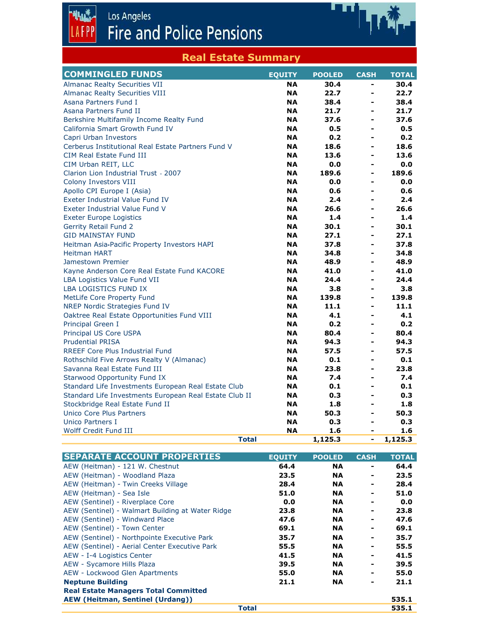Los Angeles<br>Fire and Police Pensions

帆透

Ð

| <b>Real Estate Summary</b>                             |               |               |                              |              |
|--------------------------------------------------------|---------------|---------------|------------------------------|--------------|
| <b>COMMINGLED FUNDS</b>                                | <b>EQUITY</b> | <b>POOLED</b> | <b>CASH</b>                  | <b>TOTAL</b> |
| <b>Almanac Realty Securities VII</b>                   | <b>NA</b>     | 30.4          | -                            | 30.4         |
| <b>Almanac Realty Securities VIII</b>                  | <b>NA</b>     | 22.7          | $\blacksquare$               | 22.7         |
| Asana Partners Fund I                                  | <b>NA</b>     | 38.4          | -                            | 38.4         |
| Asana Partners Fund II                                 | <b>NA</b>     | 21.7          |                              | 21.7         |
| Berkshire Multifamily Income Realty Fund               | <b>NA</b>     | 37.6          | $\blacksquare$               | 37.6         |
| California Smart Growth Fund IV                        | <b>NA</b>     | 0.5           | ۰                            | 0.5          |
| Capri Urban Investors                                  | <b>NA</b>     | 0.2           | $\blacksquare$               | 0.2          |
| Cerberus Institutional Real Estate Partners Fund V     | <b>NA</b>     | 18.6          |                              | 18.6         |
| <b>CIM Real Estate Fund III</b>                        | <b>NA</b>     | 13.6          | $\qquad \qquad \blacksquare$ | 13.6         |
| CIM Urban REIT, LLC                                    | <b>NA</b>     | 0.0           | $\overline{a}$               | 0.0          |
| Clarion Lion Industrial Trust - 2007                   | NA.           | 189.6         | $\blacksquare$               | 189.6        |
| Colony Investors VIII                                  | <b>NA</b>     | 0.0           | $\overline{a}$               | 0.0          |
| Apollo CPI Europe I (Asia)                             | <b>NA</b>     | 0.6           | $\overline{\phantom{a}}$     | 0.6          |
| Exeter Industrial Value Fund IV                        | <b>NA</b>     | 2.4           | $\blacksquare$               | 2.4          |
| Exeter Industrial Value Fund V                         | <b>NA</b>     | 26.6          | ÷,                           | 26.6         |
| <b>Exeter Europe Logistics</b>                         | <b>NA</b>     | 1.4           | $\blacksquare$               | 1.4          |
| <b>Gerrity Retail Fund 2</b>                           | <b>NA</b>     | 30.1          | $\blacksquare$               | 30.1         |
| <b>GID MAINSTAY FUND</b>                               | <b>NA</b>     | 27.1          | $\blacksquare$               | 27.1         |
| Heitman Asia-Pacific Property Investors HAPI           | <b>NA</b>     | 37.8          | $\blacksquare$               | 37.8         |
| <b>Heitman HART</b>                                    | <b>NA</b>     | 34.8          | -                            | 34.8         |
| Jamestown Premier                                      | <b>NA</b>     | 48.9          | $\blacksquare$               | 48.9         |
| Kayne Anderson Core Real Estate Fund KACORE            | <b>NA</b>     | 41.0          | $\blacksquare$               | 41.0         |
| LBA Logistics Value Fund VII                           | <b>NA</b>     | 24.4          | $\blacksquare$               | 24.4         |
| LBA LOGISTICS FUND IX                                  | <b>NA</b>     | 3.8           | $\blacksquare$               | 3.8          |
| MetLife Core Property Fund                             | <b>NA</b>     | 139.8         | $\overline{a}$               | 139.8        |
| NREP Nordic Strategies Fund IV                         | <b>NA</b>     | 11.1          | ÷,                           | 11.1         |
| Oaktree Real Estate Opportunities Fund VIII            | <b>NA</b>     | 4.1           | -                            | 4.1          |
| Principal Green I                                      | <b>NA</b>     | 0.2           | $\blacksquare$               | 0.2          |
| Principal US Core USPA                                 | <b>NA</b>     | 80.4          | $\blacksquare$               | 80.4         |
| <b>Prudential PRISA</b>                                | <b>NA</b>     | 94.3          | $\blacksquare$               | 94.3         |
| <b>RREEF Core Plus Industrial Fund</b>                 | <b>NA</b>     | 57.5          | $\blacksquare$               | 57.5         |
| Rothschild Five Arrows Realty V (Almanac)              | <b>NA</b>     | 0.1           |                              | 0.1          |
| Savanna Real Estate Fund III                           | <b>NA</b>     | 23.8          | $\overline{\phantom{a}}$     | 23.8         |
| <b>Starwood Opportunity Fund IX</b>                    | <b>NA</b>     | 7.4           | -                            | 7.4          |
| Standard Life Investments European Real Estate Club    | <b>NA</b>     | 0.1           | -                            | 0.1          |
| Standard Life Investments European Real Estate Club II | <b>NA</b>     | 0.3           | $\blacksquare$               | 0.3          |
| Stockbridge Real Estate Fund II                        | <b>NA</b>     | 1.8           | -                            | 1.8          |
| Unico Core Plus Partners                               | <b>NA</b>     | 50.3          | $\blacksquare$               | 50.3         |
| <b>Unico Partners I</b>                                | <b>NA</b>     | 0.3           | ۰                            | 0.3          |
| Wolff Credit Fund III                                  | <b>NA</b>     | 1.6           | $\overline{\phantom{a}}$     | 1.6          |
| <b>Total</b>                                           |               | 1,125.3       | $\overline{a}$               | 1,125.3      |

4/5/2022

| <b>SEPARATE ACCOUNT PROPERTIES</b>               | <b>EQUITY</b> | <b>POOLED</b> | <b>CASH</b>    | <b>TOTAL</b> |
|--------------------------------------------------|---------------|---------------|----------------|--------------|
| AEW (Heitman) - 121 W. Chestnut                  | 64.4          | <b>NA</b>     | -              | 64.4         |
| AEW (Heitman) - Woodland Plaza                   | 23.5          | <b>NA</b>     | ۰              | 23.5         |
| AEW (Heitman) - Twin Creeks Village              | 28.4          | <b>NA</b>     | ۰              | 28.4         |
| AEW (Heitman) - Sea Isle                         | 51.0          | <b>NA</b>     | ۰              | 51.0         |
| AEW (Sentinel) - Riverplace Core                 | 0.0           | <b>NA</b>     | ٠              | 0.0          |
| AEW (Sentinel) - Walmart Building at Water Ridge | 23.8          | <b>NA</b>     | $\blacksquare$ | 23.8         |
| AEW (Sentinel) - Windward Place                  | 47.6          | <b>NA</b>     | ۰              | 47.6         |
| AEW (Sentinel) - Town Center                     | 69.1          | <b>NA</b>     | ۰              | 69.1         |
| AEW (Sentinel) - Northpointe Executive Park      | 35.7          | <b>NA</b>     | ۰              | 35.7         |
| AEW (Sentinel) - Aerial Center Executive Park    | 55.5          | <b>NA</b>     | ۰              | 55.5         |
| AEW - I-4 Logistics Center                       | 41.5          | <b>NA</b>     | ۰              | 41.5         |
| AEW - Sycamore Hills Plaza                       | 39.5          | <b>NA</b>     | -              | 39.5         |
| AEW - Lockwood Glen Apartments                   | 55.0          | <b>NA</b>     | -              | 55.0         |
| <b>Neptune Building</b>                          | 21.1          | <b>NA</b>     | -              | 21.1         |
| <b>Real Estate Managers Total Committed</b>      |               |               |                |              |
| <b>AEW (Heitman, Sentinel (Urdang))</b>          |               |               |                | 535.1        |
|                                                  | <b>Total</b>  |               |                | 535.1        |